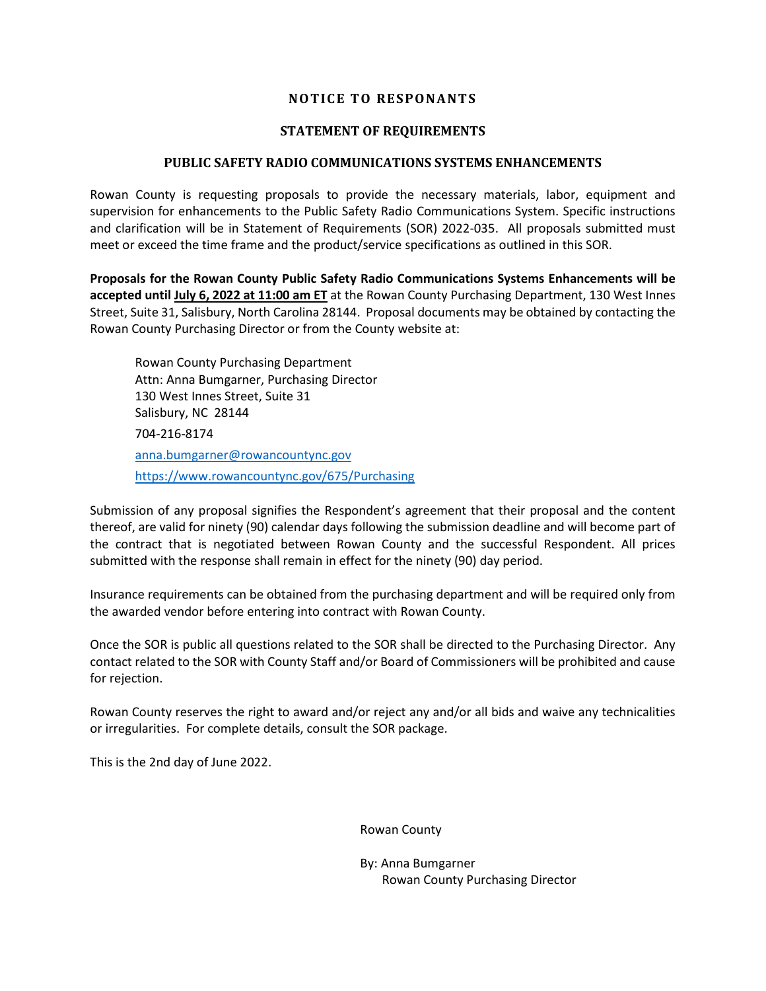#### **NOTICE TO RESPONANTS**

#### **STATEMENT OF REQUIREMENTS**

#### **PUBLIC SAFETY RADIO COMMUNICATIONS SYSTEMS ENHANCEMENTS**

Rowan County is requesting proposals to provide the necessary materials, labor, equipment and supervision for enhancements to the Public Safety Radio Communications System. Specific instructions and clarification will be in Statement of Requirements (SOR) 2022-035. All proposals submitted must meet or exceed the time frame and the product/service specifications as outlined in this SOR.

**Proposals for the Rowan County Public Safety Radio Communications Systems Enhancements will be accepted until July 6, 2022 at 11:00 am ET** at the Rowan County Purchasing Department, 130 West Innes Street, Suite 31, Salisbury, North Carolina 28144. Proposal documents may be obtained by contacting the Rowan County Purchasing Director or from the County website at:

Rowan County Purchasing Department Attn: Anna Bumgarner, Purchasing Director 130 West Innes Street, Suite 31 Salisbury, NC 28144 704-216-8174 [anna.bumgarner@rowancountync.gov](mailto:anna.bumgarner@rowancountync.gov) <https://www.rowancountync.gov/675/Purchasing>

Submission of any proposal signifies the Respondent's agreement that their proposal and the content thereof, are valid for ninety (90) calendar days following the submission deadline and will become part of the contract that is negotiated between Rowan County and the successful Respondent. All prices submitted with the response shall remain in effect for the ninety (90) day period.

Insurance requirements can be obtained from the purchasing department and will be required only from the awarded vendor before entering into contract with Rowan County.

Once the SOR is public all questions related to the SOR shall be directed to the Purchasing Director. Any contact related to the SOR with County Staff and/or Board of Commissioners will be prohibited and cause for rejection.

Rowan County reserves the right to award and/or reject any and/or all bids and waive any technicalities or irregularities. For complete details, consult the SOR package.

This is the 2nd day of June 2022.

Rowan County

By: Anna Bumgarner Rowan County Purchasing Director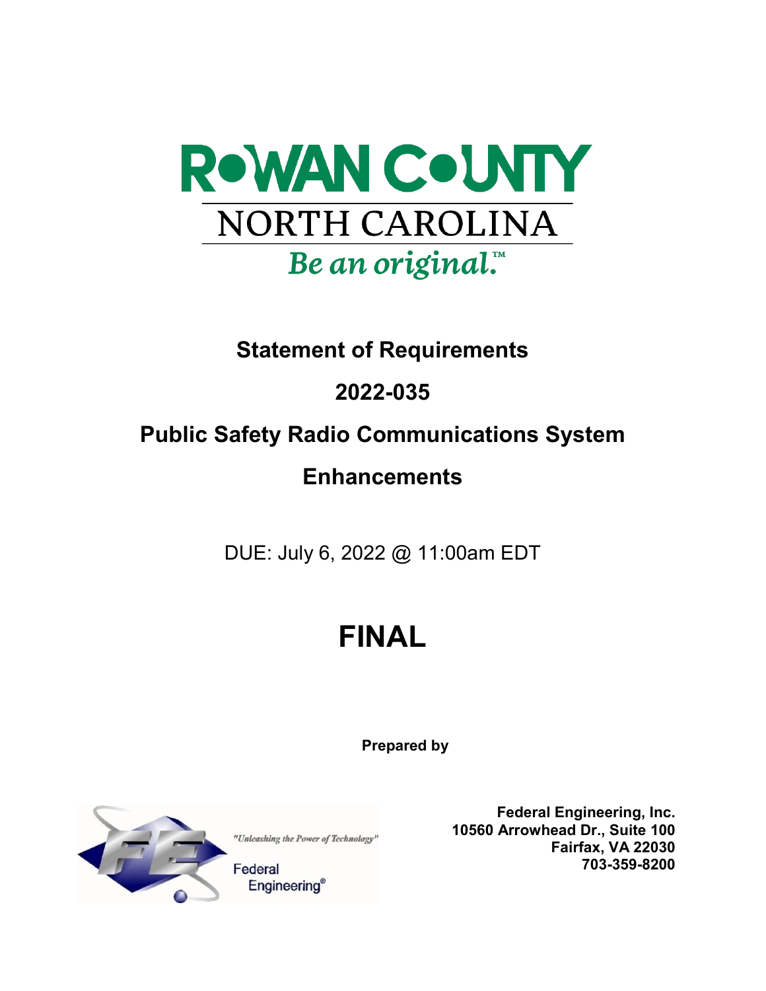

# **Statement of Requirements**

# **2022-035**

# **Public Safety Radio Communications System**

# **Enhancements**

DUE: July 6, 2022 @ 11:00am EDT

# **FINAL**

**Prepared by**



"Unleashing the Power of Technology"

Federal **Engineering®** 

**Federal Engineering, Inc. 10560 Arrowhead Dr., Suite 100 Fairfax, VA 22030 703-359-8200**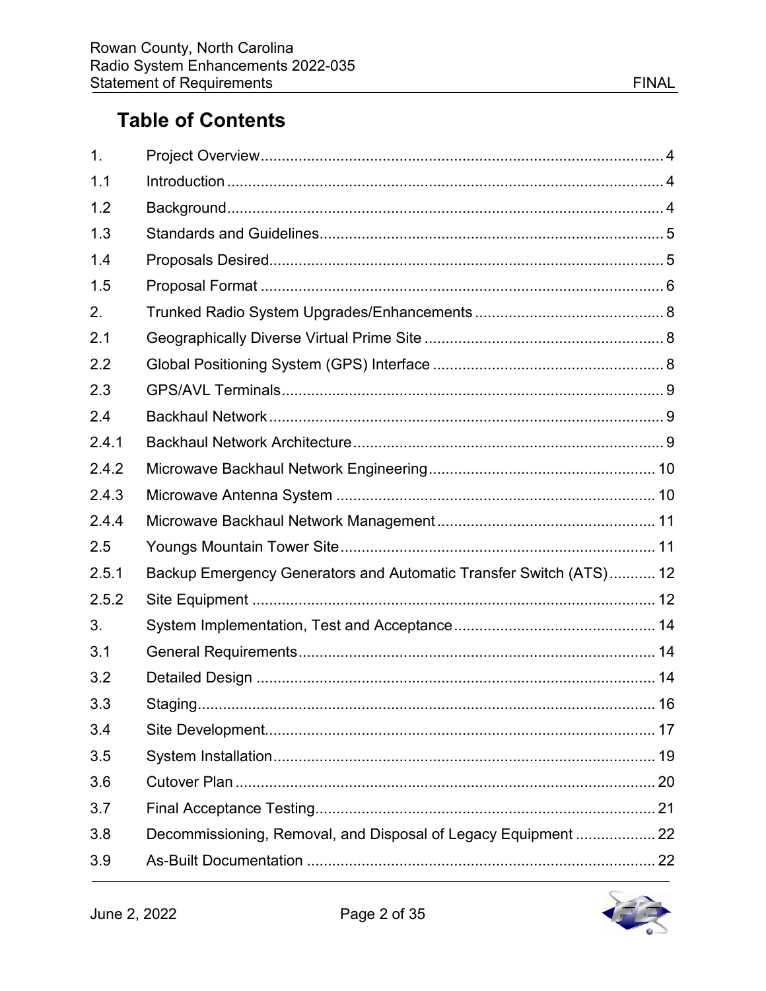| 1.    |                                                                    |  |
|-------|--------------------------------------------------------------------|--|
| 1.1   |                                                                    |  |
| 1.2   |                                                                    |  |
| 1.3   |                                                                    |  |
| 1.4   |                                                                    |  |
| 1.5   |                                                                    |  |
| 2.    |                                                                    |  |
| 2.1   |                                                                    |  |
| 2.2   |                                                                    |  |
| 2.3   |                                                                    |  |
| 2.4   |                                                                    |  |
| 2.4.1 |                                                                    |  |
| 2.4.2 |                                                                    |  |
| 2.4.3 |                                                                    |  |
| 2.4.4 |                                                                    |  |
| 2.5   |                                                                    |  |
| 2.5.1 | Backup Emergency Generators and Automatic Transfer Switch (ATS) 12 |  |
| 2.5.2 |                                                                    |  |
| 3.    |                                                                    |  |
| 3.1   |                                                                    |  |
| 3.2   |                                                                    |  |
| 3.3   | Staging<br>. 16                                                    |  |
| 3.4   |                                                                    |  |
| 3.5   |                                                                    |  |
| 3.6   |                                                                    |  |
| 3.7   |                                                                    |  |
| 3.8   | Decommissioning, Removal, and Disposal of Legacy Equipment  22     |  |
| 3.9   |                                                                    |  |

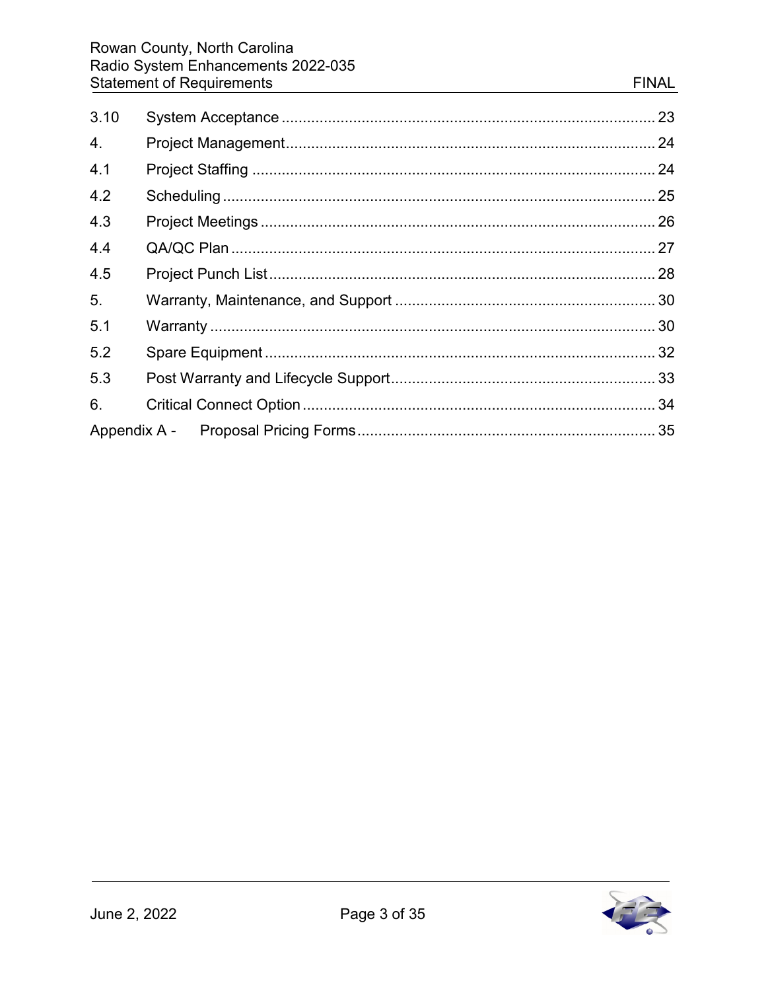| 3.10 |  |
|------|--|
| 4.   |  |
| 4.1  |  |
| 4.2  |  |
| 4.3  |  |
| 4.4  |  |
| 4.5  |  |
| 5.   |  |
| 5.1  |  |
| 5.2  |  |
| 5.3  |  |
| 6.   |  |
|      |  |

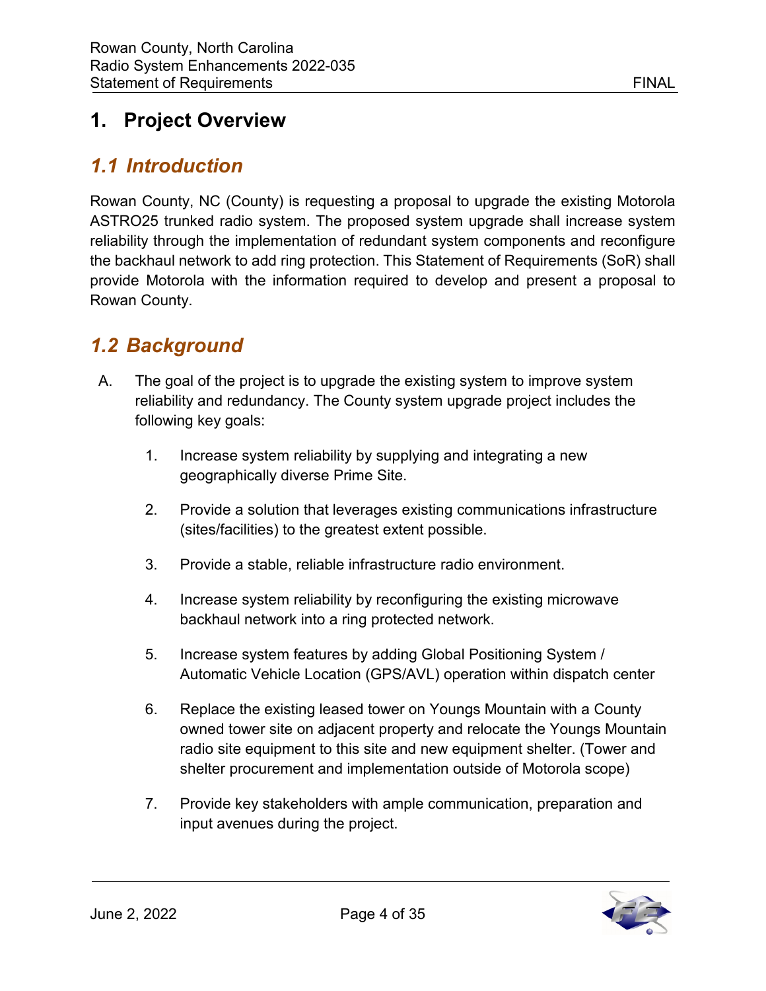# <span id="page-4-0"></span>**1. Project Overview**

# <span id="page-4-1"></span>*1.1 Introduction*

Rowan County, NC (County) is requesting a proposal to upgrade the existing Motorola ASTRO25 trunked radio system. The proposed system upgrade shall increase system reliability through the implementation of redundant system components and reconfigure the backhaul network to add ring protection. This Statement of Requirements (SoR) shall provide Motorola with the information required to develop and present a proposal to Rowan County.

# <span id="page-4-2"></span>*1.2 Background*

- A. The goal of the project is to upgrade the existing system to improve system reliability and redundancy. The County system upgrade project includes the following key goals:
	- 1. Increase system reliability by supplying and integrating a new geographically diverse Prime Site.
	- 2. Provide a solution that leverages existing communications infrastructure (sites/facilities) to the greatest extent possible.
	- 3. Provide a stable, reliable infrastructure radio environment.
	- 4. Increase system reliability by reconfiguring the existing microwave backhaul network into a ring protected network.
	- 5. Increase system features by adding Global Positioning System / Automatic Vehicle Location (GPS/AVL) operation within dispatch center
	- 6. Replace the existing leased tower on Youngs Mountain with a County owned tower site on adjacent property and relocate the Youngs Mountain radio site equipment to this site and new equipment shelter. (Tower and shelter procurement and implementation outside of Motorola scope)
	- 7. Provide key stakeholders with ample communication, preparation and input avenues during the project.

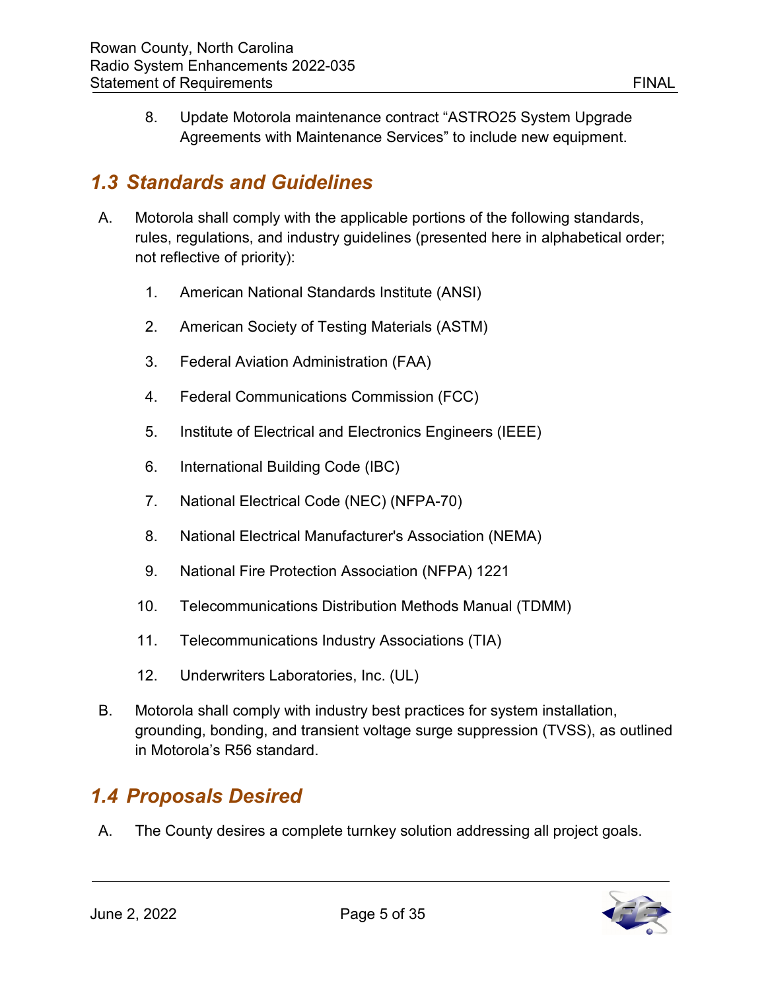8. Update Motorola maintenance contract "ASTRO25 System Upgrade Agreements with Maintenance Services" to include new equipment.

# <span id="page-5-0"></span>*1.3 Standards and Guidelines*

- A. Motorola shall comply with the applicable portions of the following standards, rules, regulations, and industry guidelines (presented here in alphabetical order; not reflective of priority):
	- 1. American National Standards Institute (ANSI)
	- 2. American Society of Testing Materials (ASTM)
	- 3. Federal Aviation Administration (FAA)
	- 4. Federal Communications Commission (FCC)
	- 5. Institute of Electrical and Electronics Engineers (IEEE)
	- 6. International Building Code (IBC)
	- 7. National Electrical Code (NEC) (NFPA-70)
	- 8. National Electrical Manufacturer's Association (NEMA)
	- 9. National Fire Protection Association (NFPA) 1221
	- 10. Telecommunications Distribution Methods Manual (TDMM)
	- 11. Telecommunications Industry Associations (TIA)
	- 12. Underwriters Laboratories, Inc. (UL)
- B. Motorola shall comply with industry best practices for system installation, grounding, bonding, and transient voltage surge suppression (TVSS), as outlined in Motorola's R56 standard.

# <span id="page-5-1"></span>*1.4 Proposals Desired*

A. The County desires a complete turnkey solution addressing all project goals.

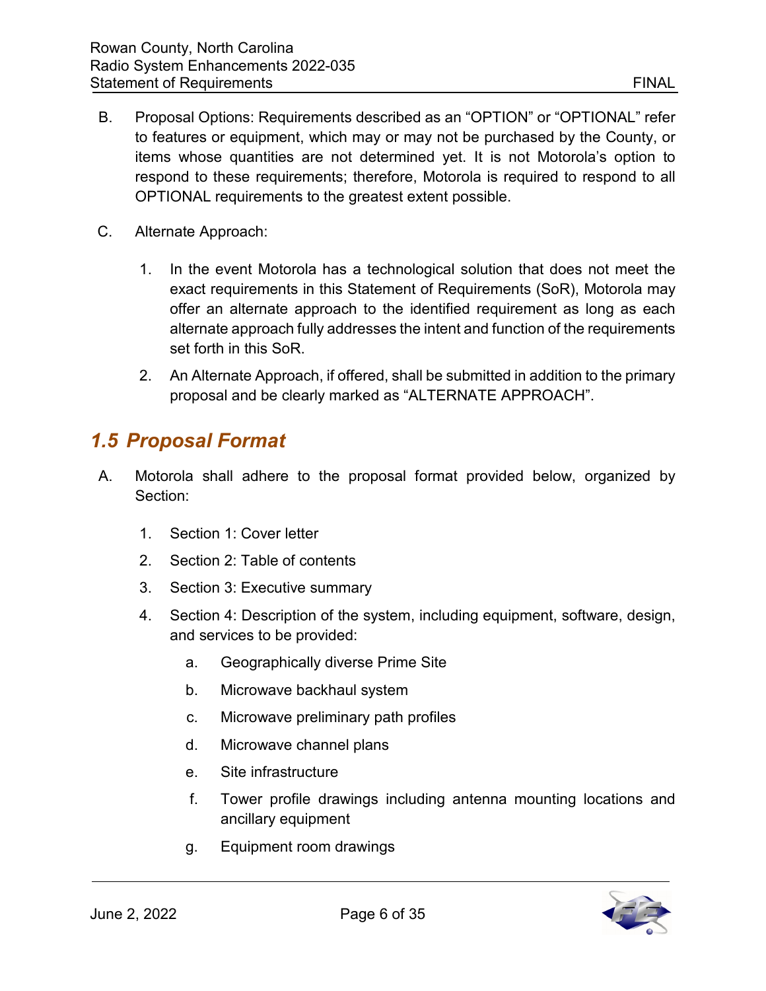- B. Proposal Options: Requirements described as an "OPTION" or "OPTIONAL" refer to features or equipment, which may or may not be purchased by the County, or items whose quantities are not determined yet. It is not Motorola's option to respond to these requirements; therefore, Motorola is required to respond to all OPTIONAL requirements to the greatest extent possible.
- C. Alternate Approach:
	- 1. In the event Motorola has a technological solution that does not meet the exact requirements in this Statement of Requirements (SoR), Motorola may offer an alternate approach to the identified requirement as long as each alternate approach fully addresses the intent and function of the requirements set forth in this SoR.
	- 2. An Alternate Approach, if offered, shall be submitted in addition to the primary proposal and be clearly marked as "ALTERNATE APPROACH".

#### <span id="page-6-0"></span>*1.5 Proposal Format*

- A. Motorola shall adhere to the proposal format provided below, organized by Section:
	- 1. Section 1: Cover letter
	- 2. Section 2: Table of contents
	- 3. Section 3: Executive summary
	- 4. Section 4: Description of the system, including equipment, software, design, and services to be provided:
		- a. Geographically diverse Prime Site
		- b. Microwave backhaul system
		- c. Microwave preliminary path profiles
		- d. Microwave channel plans
		- e. Site infrastructure
		- f. Tower profile drawings including antenna mounting locations and ancillary equipment
		- g. Equipment room drawings

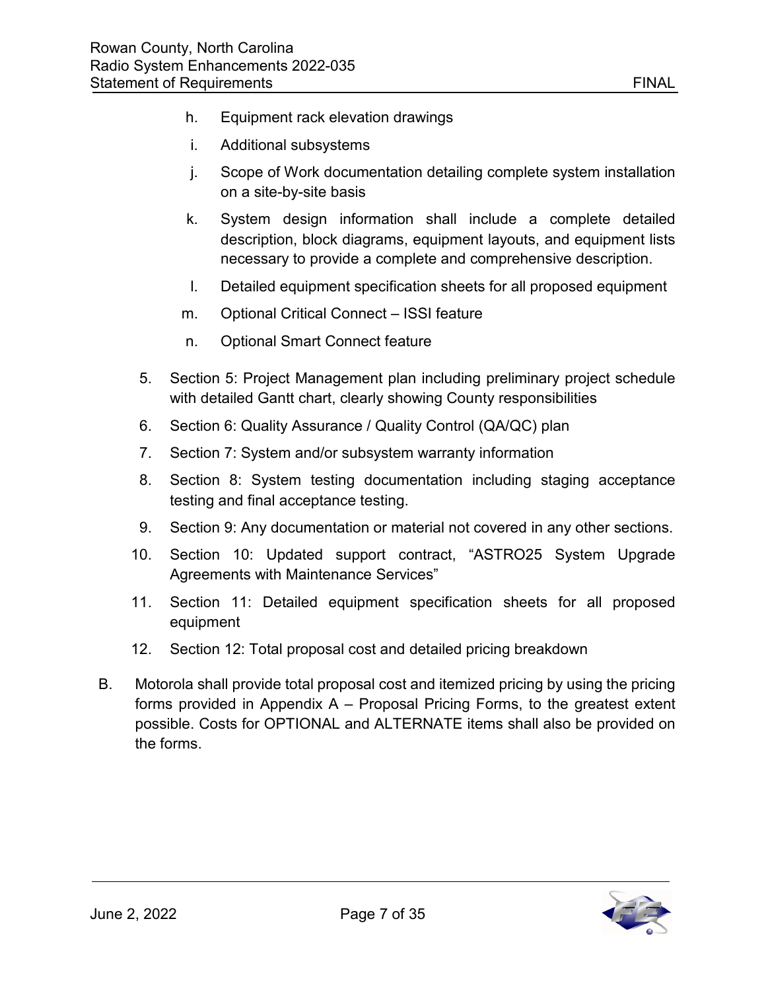- h. Equipment rack elevation drawings
- i. Additional subsystems
- j. Scope of Work documentation detailing complete system installation on a site-by-site basis
- k. System design information shall include a complete detailed description, block diagrams, equipment layouts, and equipment lists necessary to provide a complete and comprehensive description.
- l. Detailed equipment specification sheets for all proposed equipment
- m. Optional Critical Connect ISSI feature
- n. Optional Smart Connect feature
- 5. Section 5: Project Management plan including preliminary project schedule with detailed Gantt chart, clearly showing County responsibilities
- 6. Section 6: Quality Assurance / Quality Control (QA/QC) plan
- 7. Section 7: System and/or subsystem warranty information
- 8. Section 8: System testing documentation including staging acceptance testing and final acceptance testing.
- 9. Section 9: Any documentation or material not covered in any other sections.
- 10. Section 10: Updated support contract, "ASTRO25 System Upgrade Agreements with Maintenance Services"
- 11. Section 11: Detailed equipment specification sheets for all proposed equipment
- 12. Section 12: Total proposal cost and detailed pricing breakdown
- B. Motorola shall provide total proposal cost and itemized pricing by using the pricing forms provided in Appendix A – Proposal Pricing Forms, to the greatest extent possible. Costs for OPTIONAL and ALTERNATE items shall also be provided on the forms.

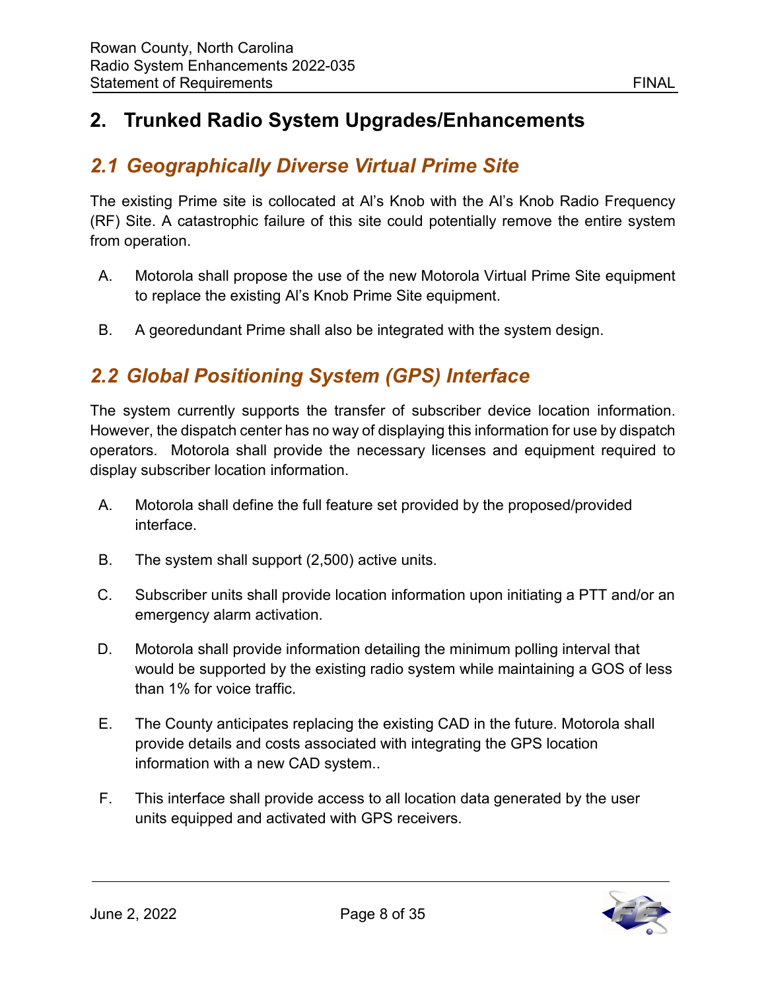### <span id="page-8-0"></span>**2. Trunked Radio System Upgrades/Enhancements**

# <span id="page-8-1"></span>*2.1 Geographically Diverse Virtual Prime Site*

The existing Prime site is collocated at Al's Knob with the Al's Knob Radio Frequency (RF) Site. A catastrophic failure of this site could potentially remove the entire system from operation.

- A. Motorola shall propose the use of the new Motorola Virtual Prime Site equipment to replace the existing Al's Knob Prime Site equipment.
- B. A georedundant Prime shall also be integrated with the system design.

# <span id="page-8-2"></span>*2.2 Global Positioning System (GPS) Interface*

The system currently supports the transfer of subscriber device location information. However, the dispatch center has no way of displaying this information for use by dispatch operators. Motorola shall provide the necessary licenses and equipment required to display subscriber location information.

- A. Motorola shall define the full feature set provided by the proposed/provided interface.
- B. The system shall support (2,500) active units.
- C. Subscriber units shall provide location information upon initiating a PTT and/or an emergency alarm activation.
- D. Motorola shall provide information detailing the minimum polling interval that would be supported by the existing radio system while maintaining a GOS of less than 1% for voice traffic.
- E. The County anticipates replacing the existing CAD in the future. Motorola shall provide details and costs associated with integrating the GPS location information with a new CAD system..
- F. This interface shall provide access to all location data generated by the user units equipped and activated with GPS receivers.

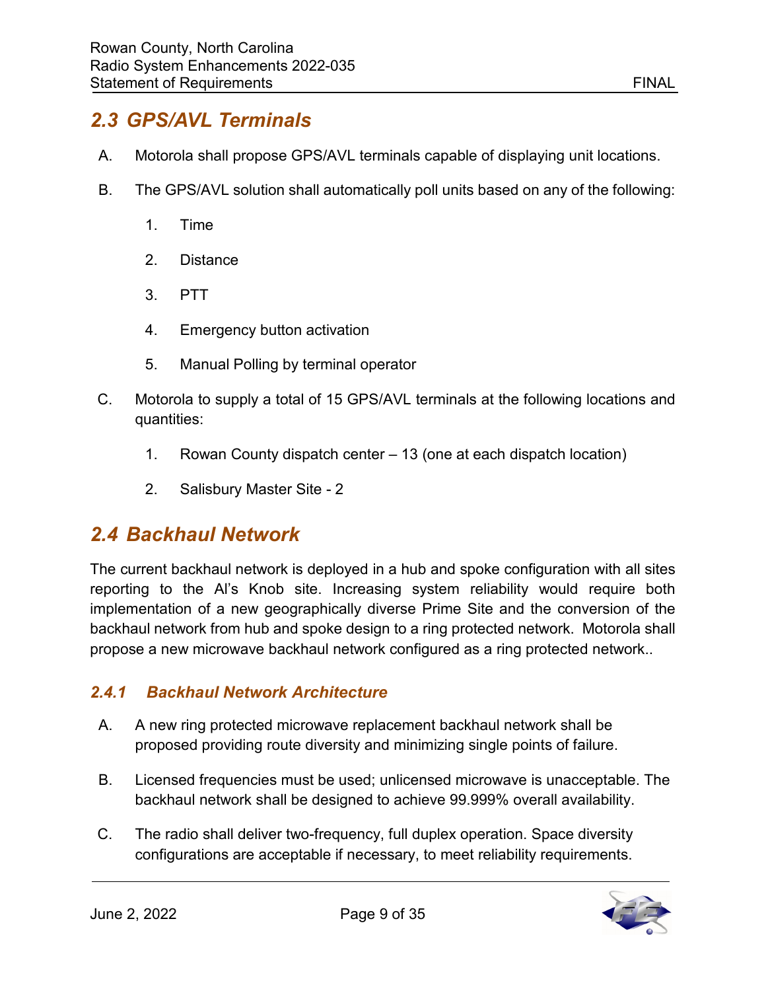### <span id="page-9-0"></span>*2.3 GPS/AVL Terminals*

- A. Motorola shall propose GPS/AVL terminals capable of displaying unit locations.
- B. The GPS/AVL solution shall automatically poll units based on any of the following:
	- 1. Time
	- 2. Distance
	- 3. PTT
	- 4. Emergency button activation
	- 5. Manual Polling by terminal operator
- C. Motorola to supply a total of 15 GPS/AVL terminals at the following locations and quantities:
	- 1. Rowan County dispatch center 13 (one at each dispatch location)
	- 2. Salisbury Master Site 2

#### <span id="page-9-1"></span>*2.4 Backhaul Network*

The current backhaul network is deployed in a hub and spoke configuration with all sites reporting to the Al's Knob site. Increasing system reliability would require both implementation of a new geographically diverse Prime Site and the conversion of the backhaul network from hub and spoke design to a ring protected network. Motorola shall propose a new microwave backhaul network configured as a ring protected network..

#### <span id="page-9-2"></span>*2.4.1 Backhaul Network Architecture*

- A. A new ring protected microwave replacement backhaul network shall be proposed providing route diversity and minimizing single points of failure.
- B. Licensed frequencies must be used; unlicensed microwave is unacceptable. The backhaul network shall be designed to achieve 99.999% overall availability.
- C. The radio shall deliver two-frequency, full duplex operation. Space diversity configurations are acceptable if necessary, to meet reliability requirements.

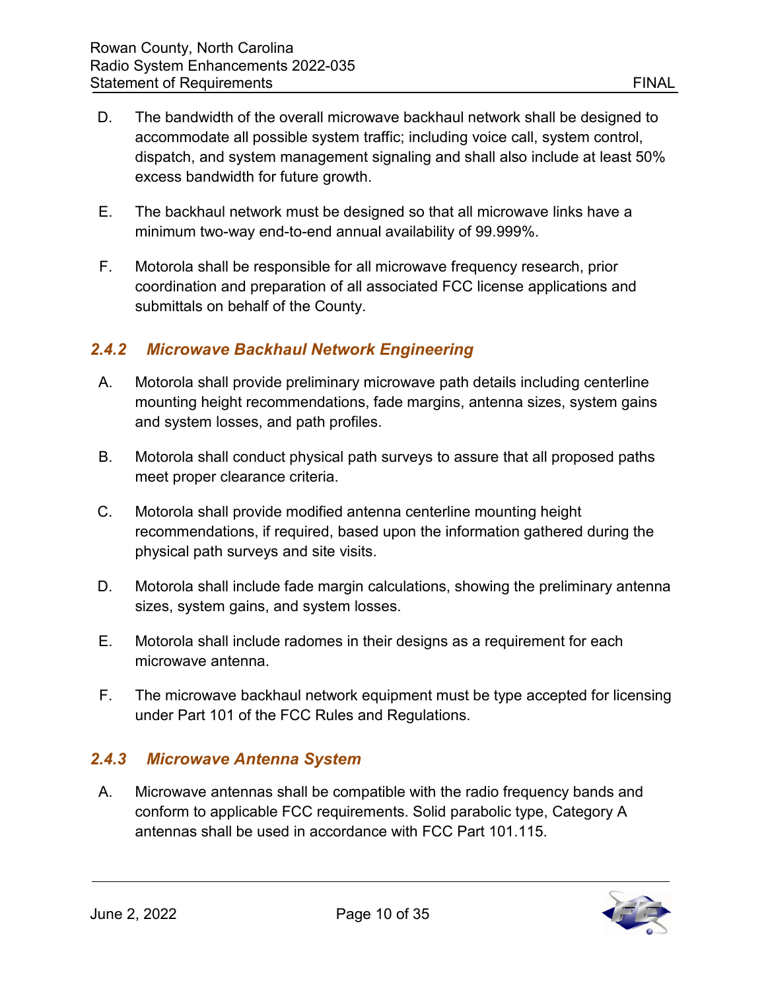- D. The bandwidth of the overall microwave backhaul network shall be designed to accommodate all possible system traffic; including voice call, system control, dispatch, and system management signaling and shall also include at least 50% excess bandwidth for future growth.
- E. The backhaul network must be designed so that all microwave links have a minimum two-way end-to-end annual availability of 99.999%.
- F. Motorola shall be responsible for all microwave frequency research, prior coordination and preparation of all associated FCC license applications and submittals on behalf of the County.

#### <span id="page-10-0"></span>*2.4.2 Microwave Backhaul Network Engineering*

- A. Motorola shall provide preliminary microwave path details including centerline mounting height recommendations, fade margins, antenna sizes, system gains and system losses, and path profiles.
- B. Motorola shall conduct physical path surveys to assure that all proposed paths meet proper clearance criteria.
- C. Motorola shall provide modified antenna centerline mounting height recommendations, if required, based upon the information gathered during the physical path surveys and site visits.
- D. Motorola shall include fade margin calculations, showing the preliminary antenna sizes, system gains, and system losses.
- E. Motorola shall include radomes in their designs as a requirement for each microwave antenna.
- F. The microwave backhaul network equipment must be type accepted for licensing under Part 101 of the FCC Rules and Regulations.

#### <span id="page-10-1"></span>*2.4.3 Microwave Antenna System*

A. Microwave antennas shall be compatible with the radio frequency bands and conform to applicable FCC requirements. Solid parabolic type, Category A antennas shall be used in accordance with FCC Part 101.115.

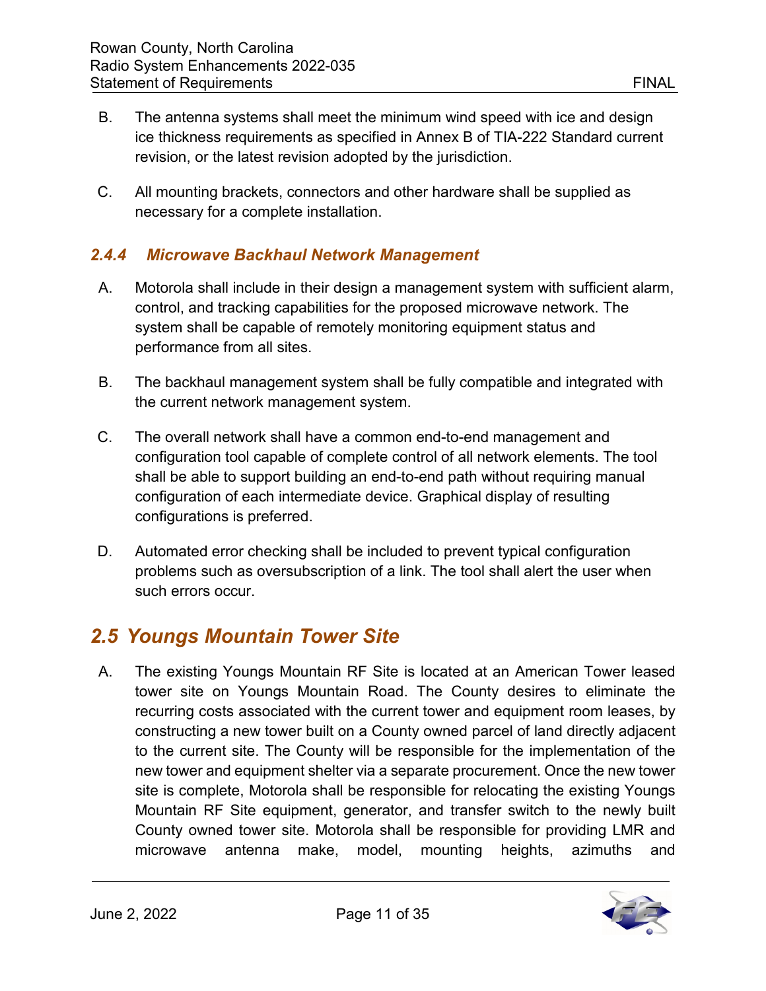- B. The antenna systems shall meet the minimum wind speed with ice and design ice thickness requirements as specified in Annex B of TIA-222 Standard current revision, or the latest revision adopted by the jurisdiction.
- C. All mounting brackets, connectors and other hardware shall be supplied as necessary for a complete installation.

#### <span id="page-11-0"></span>*2.4.4 Microwave Backhaul Network Management*

- A. Motorola shall include in their design a management system with sufficient alarm, control, and tracking capabilities for the proposed microwave network. The system shall be capable of remotely monitoring equipment status and performance from all sites.
- B. The backhaul management system shall be fully compatible and integrated with the current network management system.
- C. The overall network shall have a common end-to-end management and configuration tool capable of complete control of all network elements. The tool shall be able to support building an end-to-end path without requiring manual configuration of each intermediate device. Graphical display of resulting configurations is preferred.
- D. Automated error checking shall be included to prevent typical configuration problems such as oversubscription of a link. The tool shall alert the user when such errors occur.

#### <span id="page-11-1"></span>*2.5 Youngs Mountain Tower Site*

A. The existing Youngs Mountain RF Site is located at an American Tower leased tower site on Youngs Mountain Road. The County desires to eliminate the recurring costs associated with the current tower and equipment room leases, by constructing a new tower built on a County owned parcel of land directly adjacent to the current site. The County will be responsible for the implementation of the new tower and equipment shelter via a separate procurement. Once the new tower site is complete, Motorola shall be responsible for relocating the existing Youngs Mountain RF Site equipment, generator, and transfer switch to the newly built County owned tower site. Motorola shall be responsible for providing LMR and microwave antenna make, model, mounting heights, azimuths and

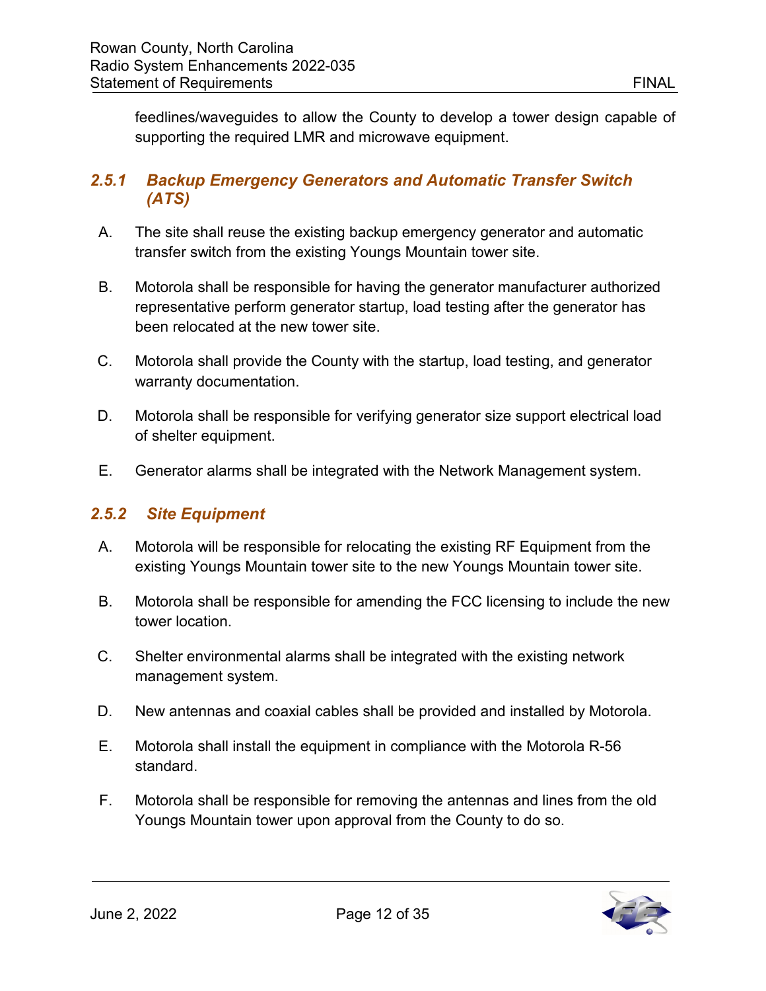feedlines/waveguides to allow the County to develop a tower design capable of supporting the required LMR and microwave equipment.

#### <span id="page-12-0"></span>*2.5.1 Backup Emergency Generators and Automatic Transfer Switch (ATS)*

- A. The site shall reuse the existing backup emergency generator and automatic transfer switch from the existing Youngs Mountain tower site.
- B. Motorola shall be responsible for having the generator manufacturer authorized representative perform generator startup, load testing after the generator has been relocated at the new tower site.
- C. Motorola shall provide the County with the startup, load testing, and generator warranty documentation.
- D. Motorola shall be responsible for verifying generator size support electrical load of shelter equipment.
- E. Generator alarms shall be integrated with the Network Management system.

#### <span id="page-12-1"></span>*2.5.2 Site Equipment*

- A. Motorola will be responsible for relocating the existing RF Equipment from the existing Youngs Mountain tower site to the new Youngs Mountain tower site.
- B. Motorola shall be responsible for amending the FCC licensing to include the new tower location.
- C. Shelter environmental alarms shall be integrated with the existing network management system.
- D. New antennas and coaxial cables shall be provided and installed by Motorola.
- E. Motorola shall install the equipment in compliance with the Motorola R-56 standard.
- F. Motorola shall be responsible for removing the antennas and lines from the old Youngs Mountain tower upon approval from the County to do so.

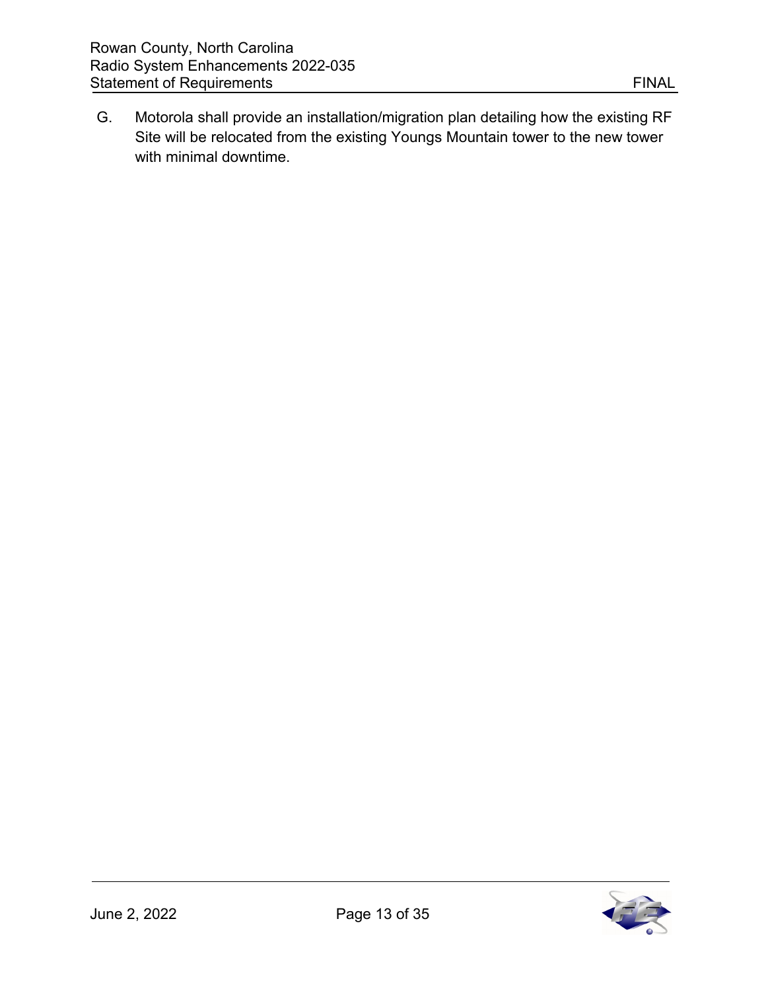G. Motorola shall provide an installation/migration plan detailing how the existing RF Site will be relocated from the existing Youngs Mountain tower to the new tower with minimal downtime.

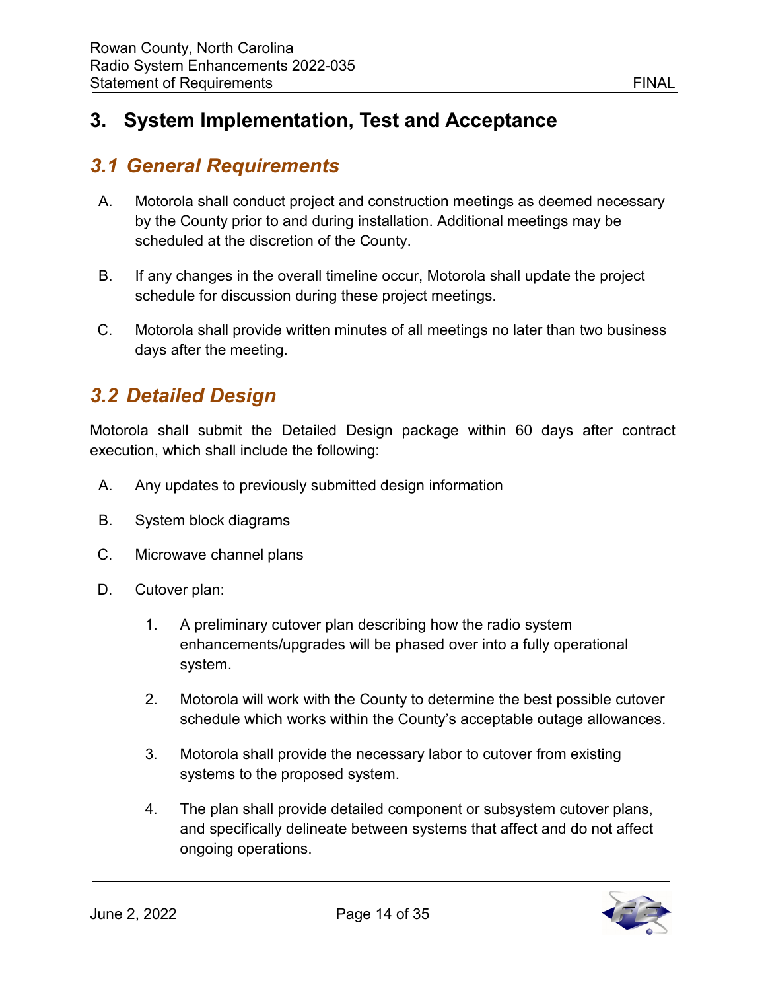# <span id="page-14-0"></span>**3. System Implementation, Test and Acceptance**

# <span id="page-14-1"></span>*3.1 General Requirements*

- A. Motorola shall conduct project and construction meetings as deemed necessary by the County prior to and during installation. Additional meetings may be scheduled at the discretion of the County.
- B. If any changes in the overall timeline occur, Motorola shall update the project schedule for discussion during these project meetings.
- C. Motorola shall provide written minutes of all meetings no later than two business days after the meeting.

# <span id="page-14-2"></span>*3.2 Detailed Design*

Motorola shall submit the Detailed Design package within 60 days after contract execution, which shall include the following:

- A. Any updates to previously submitted design information
- B. System block diagrams
- C. Microwave channel plans
- D. Cutover plan:
	- 1. A preliminary cutover plan describing how the radio system enhancements/upgrades will be phased over into a fully operational system.
	- 2. Motorola will work with the County to determine the best possible cutover schedule which works within the County's acceptable outage allowances.
	- 3. Motorola shall provide the necessary labor to cutover from existing systems to the proposed system.
	- 4. The plan shall provide detailed component or subsystem cutover plans, and specifically delineate between systems that affect and do not affect ongoing operations.

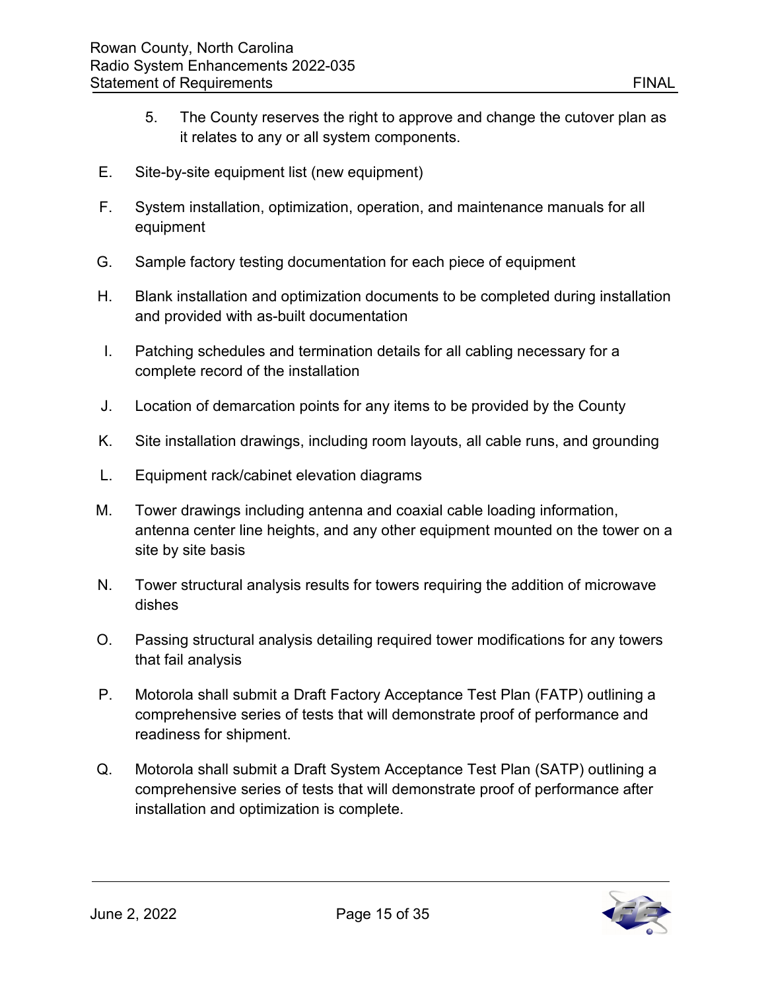- 5. The County reserves the right to approve and change the cutover plan as it relates to any or all system components.
- E. Site-by-site equipment list (new equipment)
- F. System installation, optimization, operation, and maintenance manuals for all equipment
- G. Sample factory testing documentation for each piece of equipment
- H. Blank installation and optimization documents to be completed during installation and provided with as-built documentation
- I. Patching schedules and termination details for all cabling necessary for a complete record of the installation
- J. Location of demarcation points for any items to be provided by the County
- K. Site installation drawings, including room layouts, all cable runs, and grounding
- L. Equipment rack/cabinet elevation diagrams
- M. Tower drawings including antenna and coaxial cable loading information, antenna center line heights, and any other equipment mounted on the tower on a site by site basis
- N. Tower structural analysis results for towers requiring the addition of microwave dishes
- O. Passing structural analysis detailing required tower modifications for any towers that fail analysis
- P. Motorola shall submit a Draft Factory Acceptance Test Plan (FATP) outlining a comprehensive series of tests that will demonstrate proof of performance and readiness for shipment.
- Q. Motorola shall submit a Draft System Acceptance Test Plan (SATP) outlining a comprehensive series of tests that will demonstrate proof of performance after installation and optimization is complete.

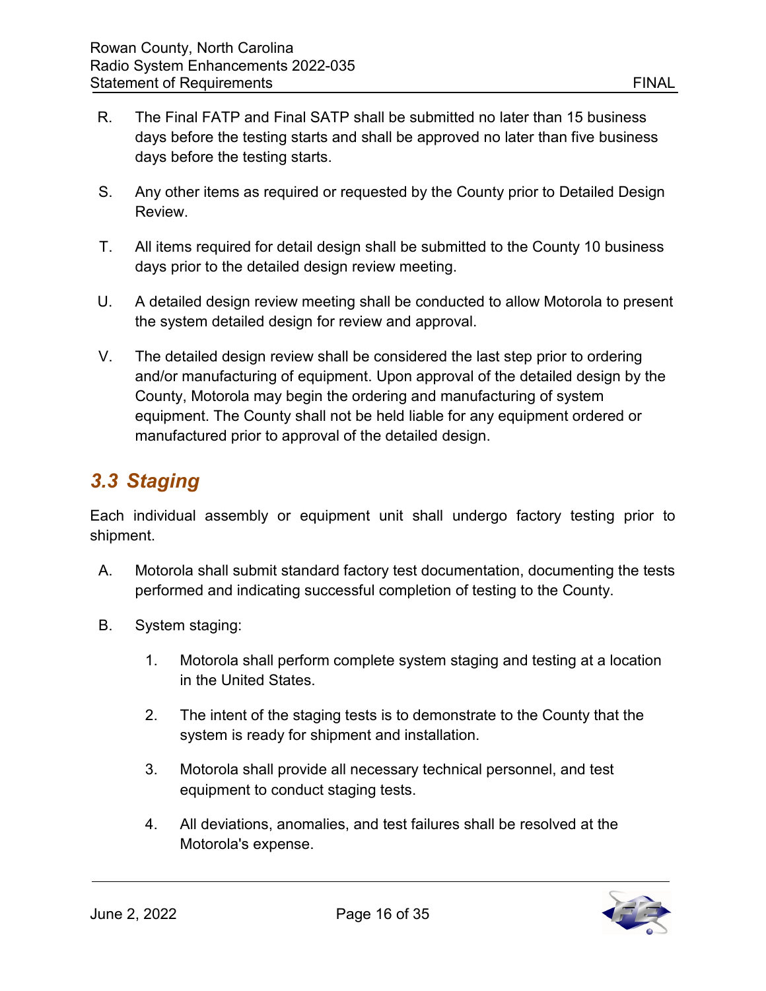- R. The Final FATP and Final SATP shall be submitted no later than 15 business days before the testing starts and shall be approved no later than five business days before the testing starts.
- S. Any other items as required or requested by the County prior to Detailed Design Review.
- T. All items required for detail design shall be submitted to the County 10 business days prior to the detailed design review meeting.
- U. A detailed design review meeting shall be conducted to allow Motorola to present the system detailed design for review and approval.
- V. The detailed design review shall be considered the last step prior to ordering and/or manufacturing of equipment. Upon approval of the detailed design by the County, Motorola may begin the ordering and manufacturing of system equipment. The County shall not be held liable for any equipment ordered or manufactured prior to approval of the detailed design.

# <span id="page-16-0"></span>*3.3 Staging*

Each individual assembly or equipment unit shall undergo factory testing prior to shipment.

- A. Motorola shall submit standard factory test documentation, documenting the tests performed and indicating successful completion of testing to the County.
- B. System staging:
	- 1. Motorola shall perform complete system staging and testing at a location in the United States.
	- 2. The intent of the staging tests is to demonstrate to the County that the system is ready for shipment and installation.
	- 3. Motorola shall provide all necessary technical personnel, and test equipment to conduct staging tests.
	- 4. All deviations, anomalies, and test failures shall be resolved at the Motorola's expense.

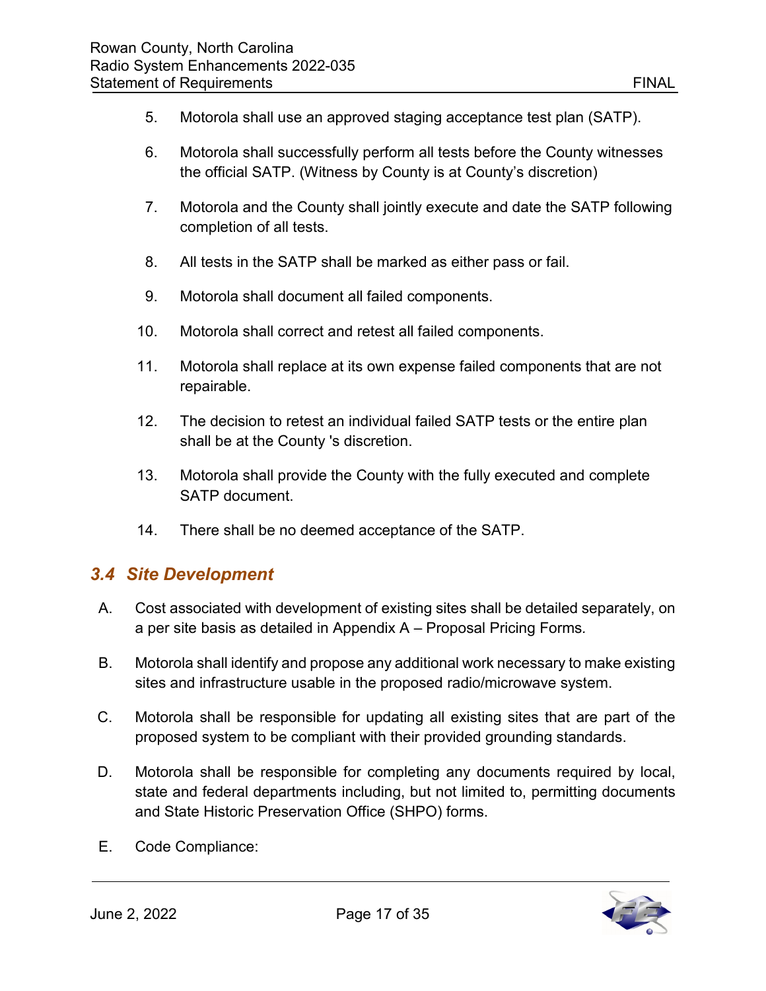- 5. Motorola shall use an approved staging acceptance test plan (SATP).
- 6. Motorola shall successfully perform all tests before the County witnesses the official SATP. (Witness by County is at County's discretion)
- 7. Motorola and the County shall jointly execute and date the SATP following completion of all tests.
- 8. All tests in the SATP shall be marked as either pass or fail.
- 9. Motorola shall document all failed components.
- 10. Motorola shall correct and retest all failed components.
- 11. Motorola shall replace at its own expense failed components that are not repairable.
- 12. The decision to retest an individual failed SATP tests or the entire plan shall be at the County 's discretion.
- 13. Motorola shall provide the County with the fully executed and complete SATP document.
- 14. There shall be no deemed acceptance of the SATP.

#### <span id="page-17-0"></span>*3.4 Site Development*

- A. Cost associated with development of existing sites shall be detailed separately, on a per site basis as detailed in Appendix A – Proposal Pricing Forms*.*
- B. Motorola shall identify and propose any additional work necessary to make existing sites and infrastructure usable in the proposed radio/microwave system.
- C. Motorola shall be responsible for updating all existing sites that are part of the proposed system to be compliant with their provided grounding standards.
- D. Motorola shall be responsible for completing any documents required by local, state and federal departments including, but not limited to, permitting documents and State Historic Preservation Office (SHPO) forms.
- E. Code Compliance:

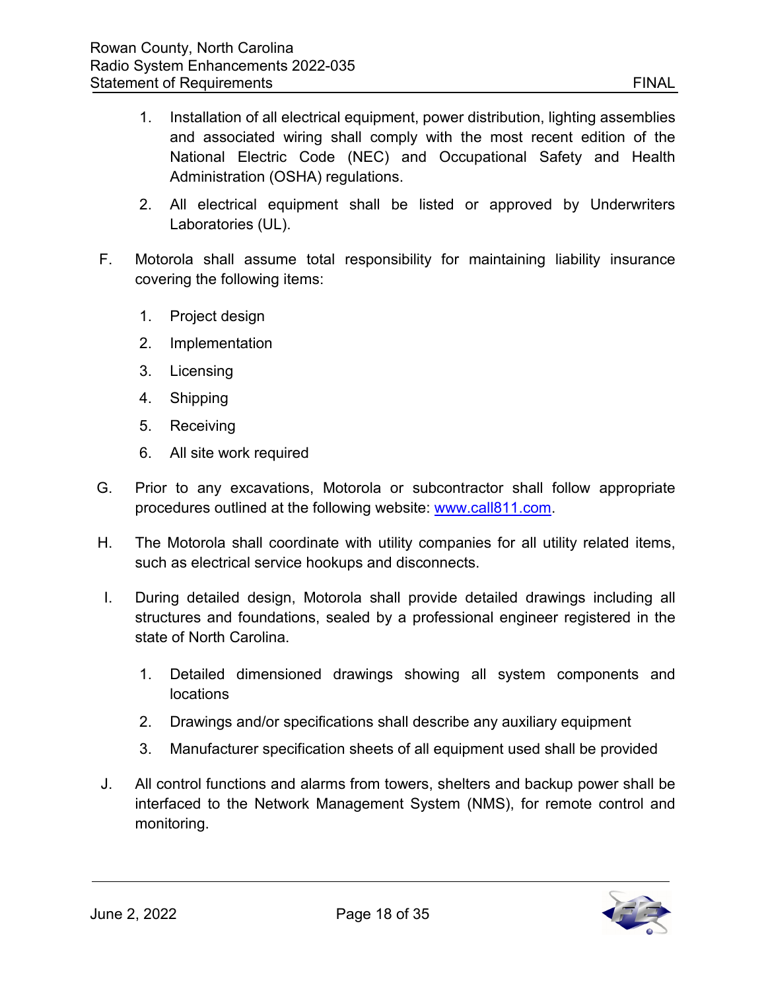- 1. Installation of all electrical equipment, power distribution, lighting assemblies and associated wiring shall comply with the most recent edition of the National Electric Code (NEC) and Occupational Safety and Health Administration (OSHA) regulations.
- 2. All electrical equipment shall be listed or approved by Underwriters Laboratories (UL).
- F. Motorola shall assume total responsibility for maintaining liability insurance covering the following items:
	- 1. Project design
	- 2. Implementation
	- 3. Licensing
	- 4. Shipping
	- 5. Receiving
	- 6. All site work required
- G. Prior to any excavations, Motorola or subcontractor shall follow appropriate procedures outlined at the following website: [www.call811.com.](http://www.call811.com/)
- H. The Motorola shall coordinate with utility companies for all utility related items, such as electrical service hookups and disconnects.
- I. During detailed design, Motorola shall provide detailed drawings including all structures and foundations, sealed by a professional engineer registered in the state of North Carolina.
	- 1. Detailed dimensioned drawings showing all system components and locations
	- 2. Drawings and/or specifications shall describe any auxiliary equipment
	- 3. Manufacturer specification sheets of all equipment used shall be provided
- J. All control functions and alarms from towers, shelters and backup power shall be interfaced to the Network Management System (NMS), for remote control and monitoring.

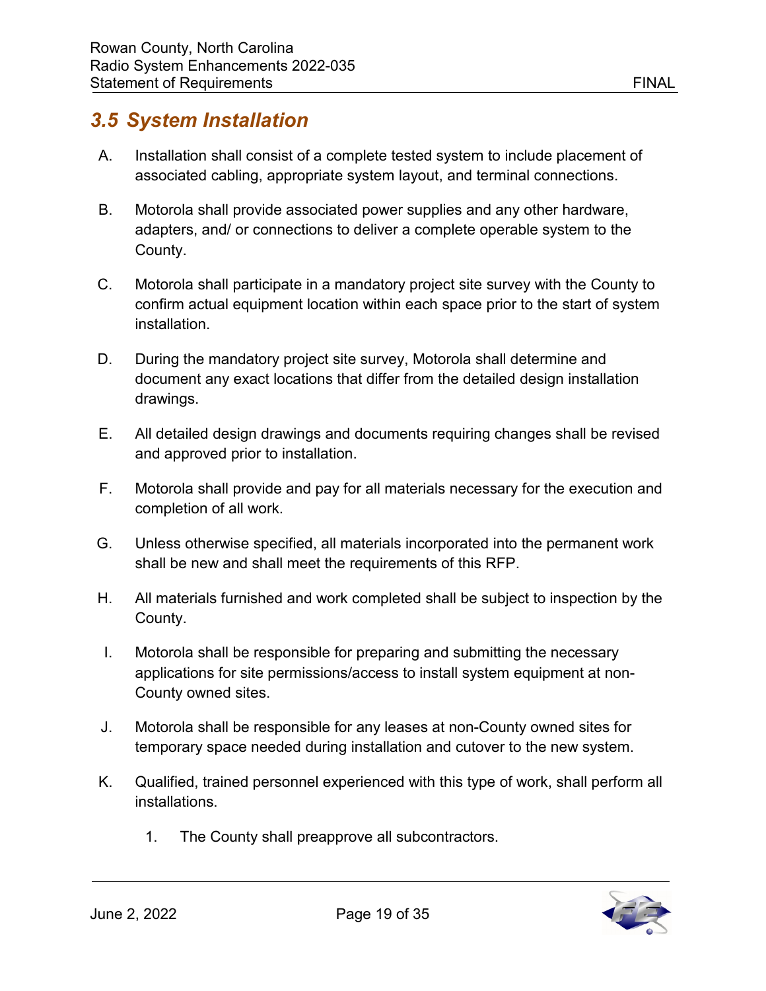### <span id="page-19-0"></span>*3.5 System Installation*

- A. Installation shall consist of a complete tested system to include placement of associated cabling, appropriate system layout, and terminal connections.
- B. Motorola shall provide associated power supplies and any other hardware, adapters, and/ or connections to deliver a complete operable system to the County.
- C. Motorola shall participate in a mandatory project site survey with the County to confirm actual equipment location within each space prior to the start of system installation.
- D. During the mandatory project site survey, Motorola shall determine and document any exact locations that differ from the detailed design installation drawings.
- E. All detailed design drawings and documents requiring changes shall be revised and approved prior to installation.
- F. Motorola shall provide and pay for all materials necessary for the execution and completion of all work.
- G. Unless otherwise specified, all materials incorporated into the permanent work shall be new and shall meet the requirements of this RFP.
- H. All materials furnished and work completed shall be subject to inspection by the County.
- I. Motorola shall be responsible for preparing and submitting the necessary applications for site permissions/access to install system equipment at non-County owned sites.
- J. Motorola shall be responsible for any leases at non-County owned sites for temporary space needed during installation and cutover to the new system.
- K. Qualified, trained personnel experienced with this type of work, shall perform all installations.
	- 1. The County shall preapprove all subcontractors.

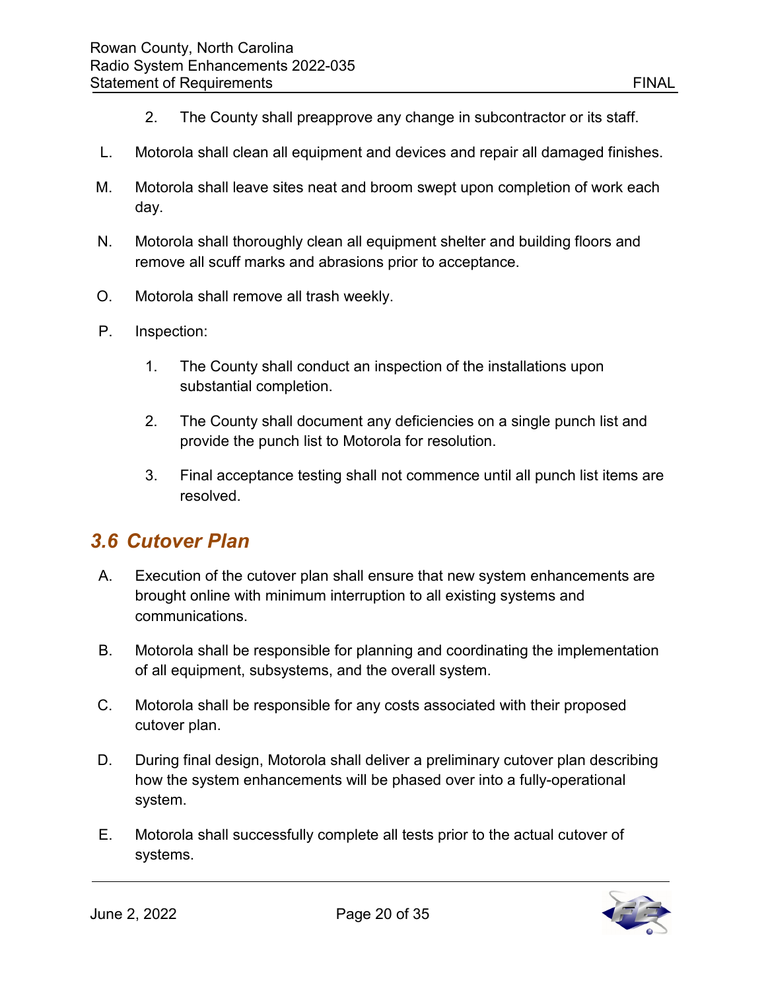- 2. The County shall preapprove any change in subcontractor or its staff.
- L. Motorola shall clean all equipment and devices and repair all damaged finishes.
- M. Motorola shall leave sites neat and broom swept upon completion of work each day.
- N. Motorola shall thoroughly clean all equipment shelter and building floors and remove all scuff marks and abrasions prior to acceptance.
- O. Motorola shall remove all trash weekly.
- P. Inspection:
	- 1. The County shall conduct an inspection of the installations upon substantial completion.
	- 2. The County shall document any deficiencies on a single punch list and provide the punch list to Motorola for resolution.
	- 3. Final acceptance testing shall not commence until all punch list items are resolved.

#### <span id="page-20-0"></span>*3.6 Cutover Plan*

- A. Execution of the cutover plan shall ensure that new system enhancements are brought online with minimum interruption to all existing systems and communications.
- B. Motorola shall be responsible for planning and coordinating the implementation of all equipment, subsystems, and the overall system.
- C. Motorola shall be responsible for any costs associated with their proposed cutover plan.
- D. During final design, Motorola shall deliver a preliminary cutover plan describing how the system enhancements will be phased over into a fully-operational system.
- E. Motorola shall successfully complete all tests prior to the actual cutover of systems.

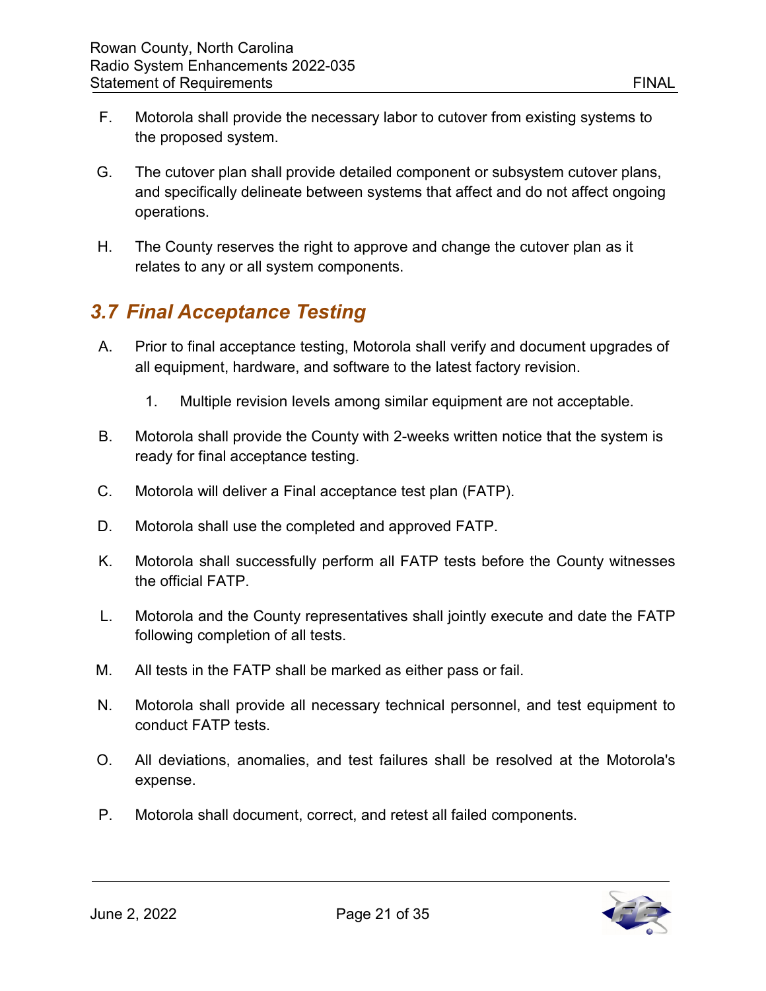- F. Motorola shall provide the necessary labor to cutover from existing systems to the proposed system.
- G. The cutover plan shall provide detailed component or subsystem cutover plans, and specifically delineate between systems that affect and do not affect ongoing operations.
- H. The County reserves the right to approve and change the cutover plan as it relates to any or all system components.

# <span id="page-21-0"></span>*3.7 Final Acceptance Testing*

- A. Prior to final acceptance testing, Motorola shall verify and document upgrades of all equipment, hardware, and software to the latest factory revision.
	- 1. Multiple revision levels among similar equipment are not acceptable.
- B. Motorola shall provide the County with 2-weeks written notice that the system is ready for final acceptance testing.
- C. Motorola will deliver a Final acceptance test plan (FATP).
- D. Motorola shall use the completed and approved FATP.
- K. Motorola shall successfully perform all FATP tests before the County witnesses the official FATP.
- L. Motorola and the County representatives shall jointly execute and date the FATP following completion of all tests.
- M. All tests in the FATP shall be marked as either pass or fail.
- N. Motorola shall provide all necessary technical personnel, and test equipment to conduct FATP tests.
- O. All deviations, anomalies, and test failures shall be resolved at the Motorola's expense.
- P. Motorola shall document, correct, and retest all failed components.

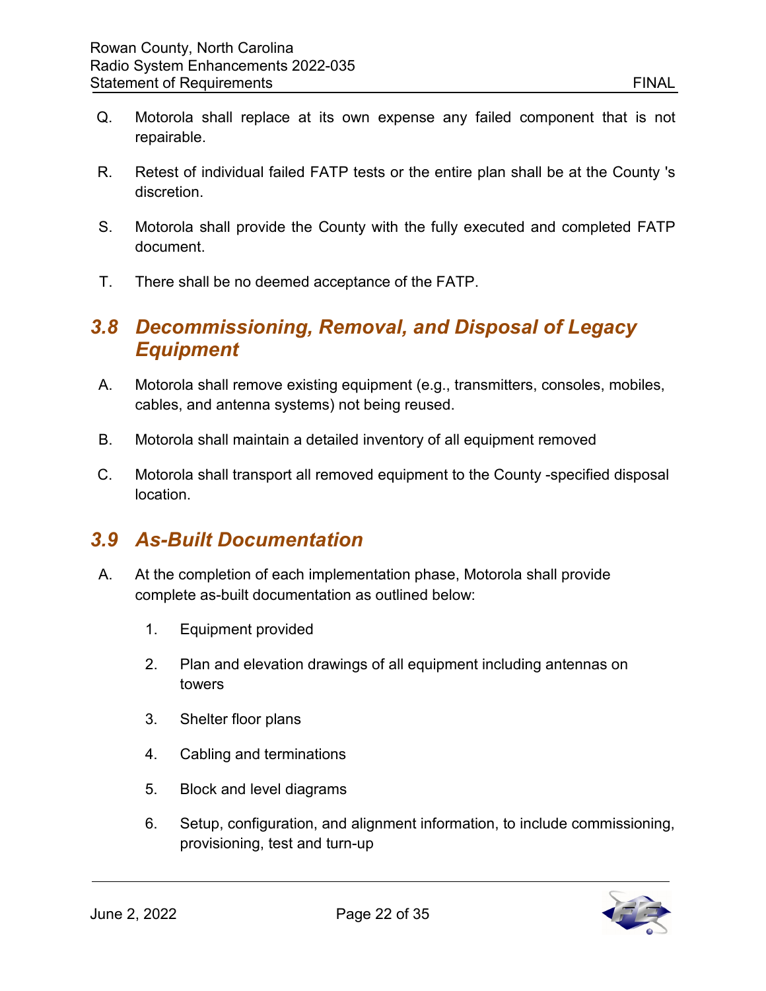- Q. Motorola shall replace at its own expense any failed component that is not repairable.
- R. Retest of individual failed FATP tests or the entire plan shall be at the County 's discretion.
- S. Motorola shall provide the County with the fully executed and completed FATP document.
- T. There shall be no deemed acceptance of the FATP.

#### <span id="page-22-0"></span>*3.8 Decommissioning, Removal, and Disposal of Legacy Equipment*

- A. Motorola shall remove existing equipment (e.g., transmitters, consoles, mobiles, cables, and antenna systems) not being reused.
- B. Motorola shall maintain a detailed inventory of all equipment removed
- C. Motorola shall transport all removed equipment to the County -specified disposal location.

# <span id="page-22-1"></span>*3.9 As-Built Documentation*

- A. At the completion of each implementation phase, Motorola shall provide complete as-built documentation as outlined below:
	- 1. Equipment provided
	- 2. Plan and elevation drawings of all equipment including antennas on towers
	- 3. Shelter floor plans
	- 4. Cabling and terminations
	- 5. Block and level diagrams
	- 6. Setup, configuration, and alignment information, to include commissioning, provisioning, test and turn-up

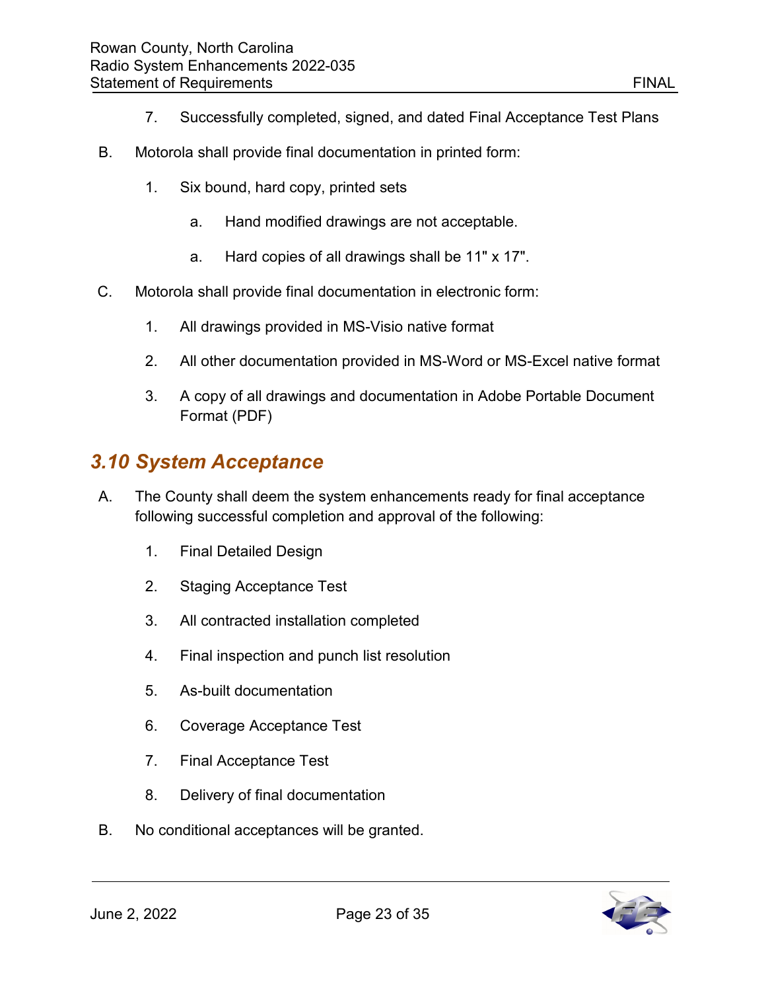- 7. Successfully completed, signed, and dated Final Acceptance Test Plans
- B. Motorola shall provide final documentation in printed form:
	- 1. Six bound, hard copy, printed sets
		- a. Hand modified drawings are not acceptable.
		- a. Hard copies of all drawings shall be 11" x 17".
- C. Motorola shall provide final documentation in electronic form:
	- 1. All drawings provided in MS-Visio native format
	- 2. All other documentation provided in MS-Word or MS-Excel native format
	- 3. A copy of all drawings and documentation in Adobe Portable Document Format (PDF)

#### <span id="page-23-0"></span>*3.10 System Acceptance*

- A. The County shall deem the system enhancements ready for final acceptance following successful completion and approval of the following:
	- 1. Final Detailed Design
	- 2. Staging Acceptance Test
	- 3. All contracted installation completed
	- 4. Final inspection and punch list resolution
	- 5. As-built documentation
	- 6. Coverage Acceptance Test
	- 7. Final Acceptance Test
	- 8. Delivery of final documentation
- B. No conditional acceptances will be granted.

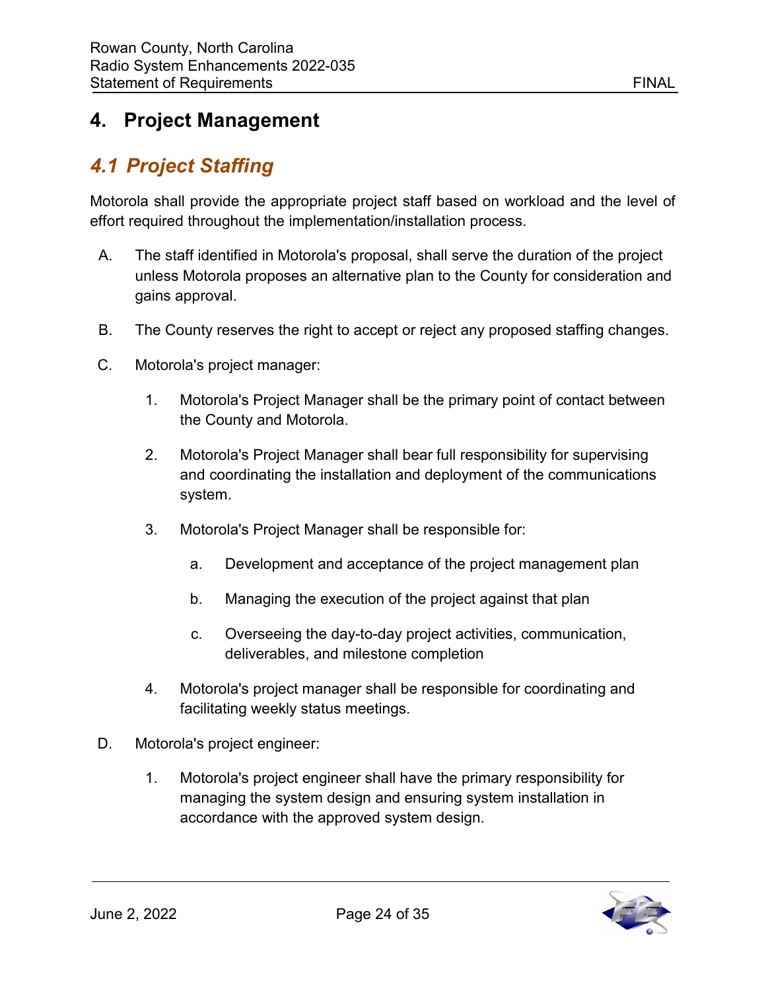### <span id="page-24-0"></span>**4. Project Management**

# <span id="page-24-1"></span>*4.1 Project Staffing*

Motorola shall provide the appropriate project staff based on workload and the level of effort required throughout the implementation/installation process.

- A. The staff identified in Motorola's proposal, shall serve the duration of the project unless Motorola proposes an alternative plan to the County for consideration and gains approval.
- B. The County reserves the right to accept or reject any proposed staffing changes.
- C. Motorola's project manager:
	- 1. Motorola's Project Manager shall be the primary point of contact between the County and Motorola.
	- 2. Motorola's Project Manager shall bear full responsibility for supervising and coordinating the installation and deployment of the communications system.
	- 3. Motorola's Project Manager shall be responsible for:
		- a. Development and acceptance of the project management plan
		- b. Managing the execution of the project against that plan
		- c. Overseeing the day-to-day project activities, communication, deliverables, and milestone completion
	- 4. Motorola's project manager shall be responsible for coordinating and facilitating weekly status meetings.
- D. Motorola's project engineer:
	- 1. Motorola's project engineer shall have the primary responsibility for managing the system design and ensuring system installation in accordance with the approved system design.

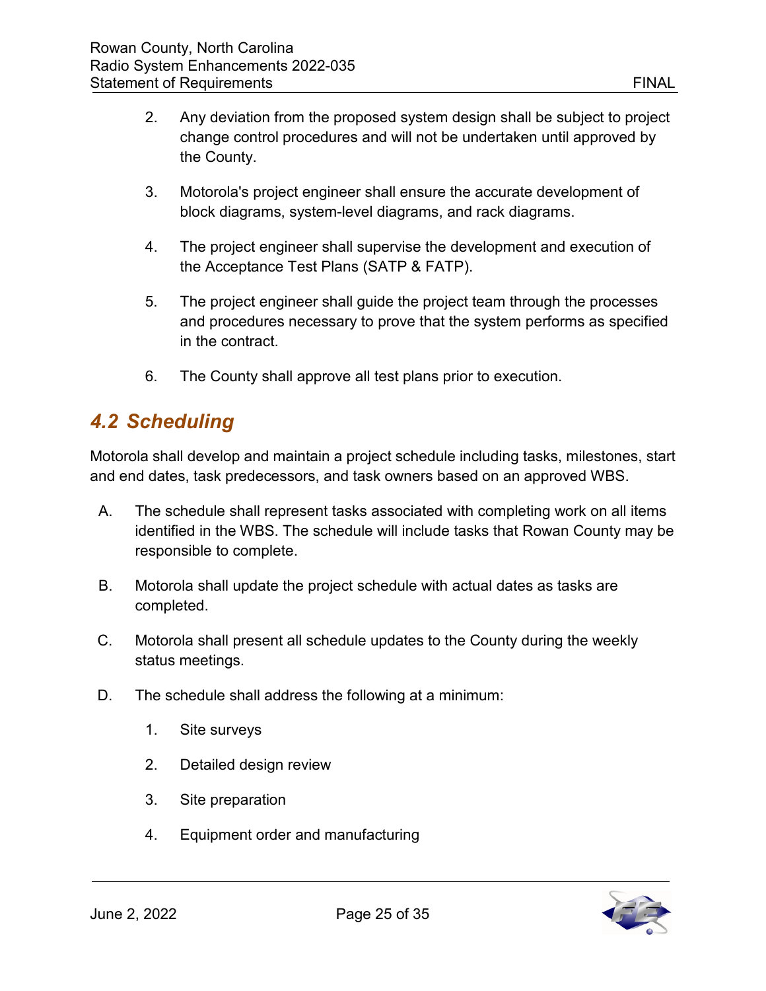- 2. Any deviation from the proposed system design shall be subject to project change control procedures and will not be undertaken until approved by the County.
- 3. Motorola's project engineer shall ensure the accurate development of block diagrams, system-level diagrams, and rack diagrams.
- 4. The project engineer shall supervise the development and execution of the Acceptance Test Plans (SATP & FATP).
- 5. The project engineer shall guide the project team through the processes and procedures necessary to prove that the system performs as specified in the contract.
- 6. The County shall approve all test plans prior to execution.

#### <span id="page-25-0"></span>*4.2 Scheduling*

Motorola shall develop and maintain a project schedule including tasks, milestones, start and end dates, task predecessors, and task owners based on an approved WBS.

- A. The schedule shall represent tasks associated with completing work on all items identified in the WBS. The schedule will include tasks that Rowan County may be responsible to complete.
- B. Motorola shall update the project schedule with actual dates as tasks are completed.
- C. Motorola shall present all schedule updates to the County during the weekly status meetings.
- D. The schedule shall address the following at a minimum:
	- 1. Site surveys
	- 2. Detailed design review
	- 3. Site preparation
	- 4. Equipment order and manufacturing

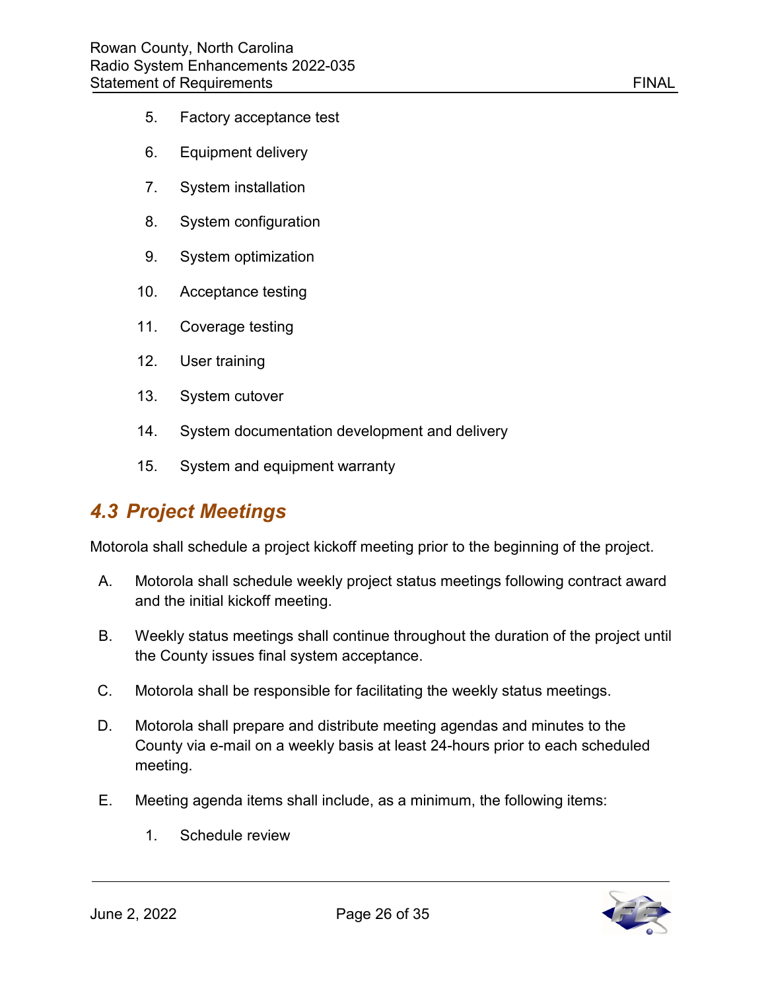- 5. Factory acceptance test
- 6. Equipment delivery
- 7. System installation
- 8. System configuration
- 9. System optimization
- 10. Acceptance testing
- 11. Coverage testing
- 12. User training
- 13. System cutover
- 14. System documentation development and delivery
- 15. System and equipment warranty

#### <span id="page-26-0"></span>*4.3 Project Meetings*

Motorola shall schedule a project kickoff meeting prior to the beginning of the project.

- A. Motorola shall schedule weekly project status meetings following contract award and the initial kickoff meeting.
- B. Weekly status meetings shall continue throughout the duration of the project until the County issues final system acceptance.
- C. Motorola shall be responsible for facilitating the weekly status meetings.
- D. Motorola shall prepare and distribute meeting agendas and minutes to the County via e-mail on a weekly basis at least 24-hours prior to each scheduled meeting.
- E. Meeting agenda items shall include, as a minimum, the following items:
	- 1. Schedule review

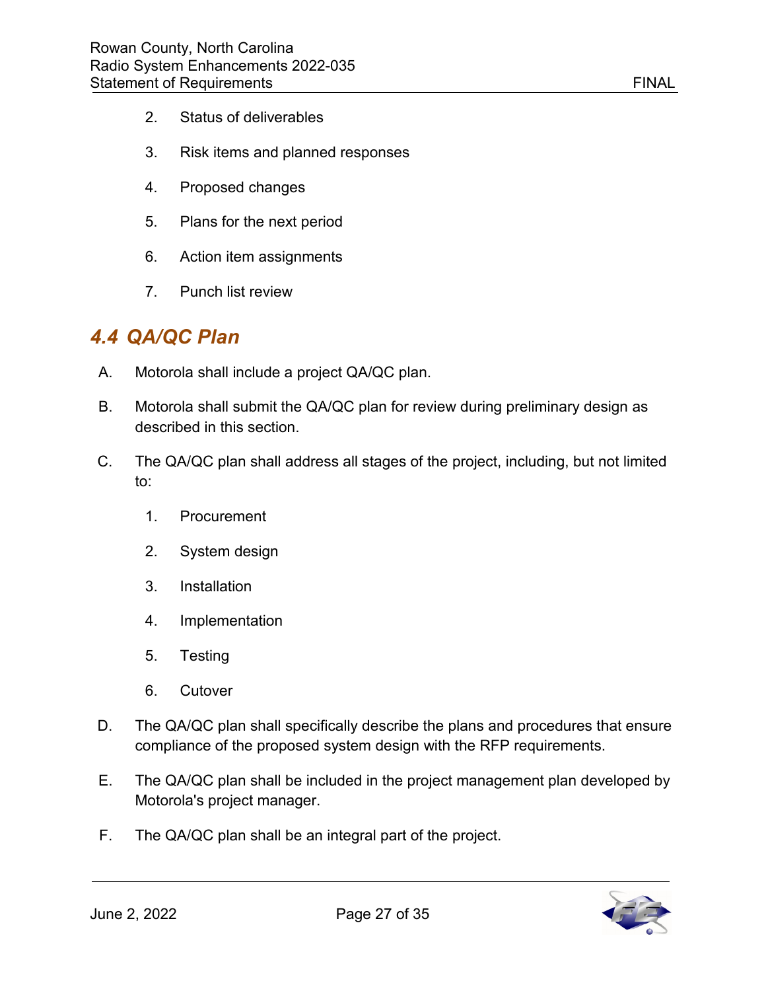- 2. Status of deliverables
- 3. Risk items and planned responses
- 4. Proposed changes
- 5. Plans for the next period
- 6. Action item assignments
- 7. Punch list review

#### <span id="page-27-0"></span>*4.4 QA/QC Plan*

- A. Motorola shall include a project QA/QC plan.
- B. Motorola shall submit the QA/QC plan for review during preliminary design as described in this section.
- C. The QA/QC plan shall address all stages of the project, including, but not limited to:
	- 1. Procurement
	- 2. System design
	- 3. Installation
	- 4. Implementation
	- 5. Testing
	- 6. Cutover
- D. The QA/QC plan shall specifically describe the plans and procedures that ensure compliance of the proposed system design with the RFP requirements.
- E. The QA/QC plan shall be included in the project management plan developed by Motorola's project manager.
- F. The QA/QC plan shall be an integral part of the project.

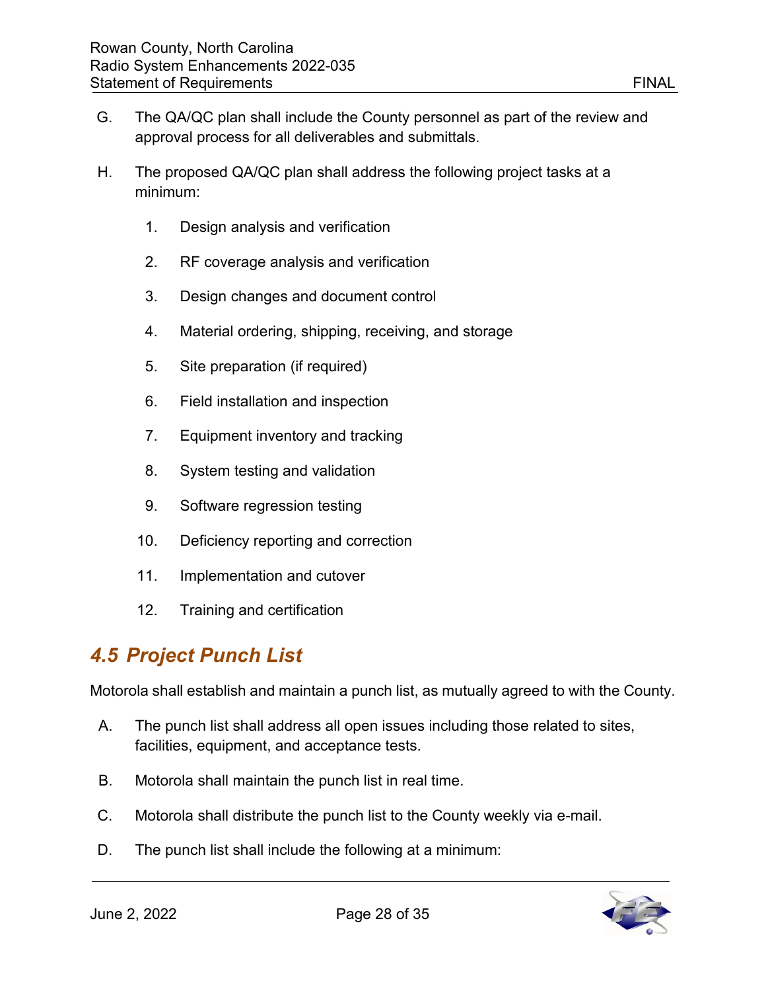- G. The QA/QC plan shall include the County personnel as part of the review and approval process for all deliverables and submittals.
- H. The proposed QA/QC plan shall address the following project tasks at a minimum:
	- 1. Design analysis and verification
	- 2. RF coverage analysis and verification
	- 3. Design changes and document control
	- 4. Material ordering, shipping, receiving, and storage
	- 5. Site preparation (if required)
	- 6. Field installation and inspection
	- 7. Equipment inventory and tracking
	- 8. System testing and validation
	- 9. Software regression testing
	- 10. Deficiency reporting and correction
	- 11. Implementation and cutover
	- 12. Training and certification

# <span id="page-28-0"></span>*4.5 Project Punch List*

Motorola shall establish and maintain a punch list, as mutually agreed to with the County.

- A. The punch list shall address all open issues including those related to sites, facilities, equipment, and acceptance tests.
- B. Motorola shall maintain the punch list in real time.
- C. Motorola shall distribute the punch list to the County weekly via e-mail.
- D. The punch list shall include the following at a minimum:

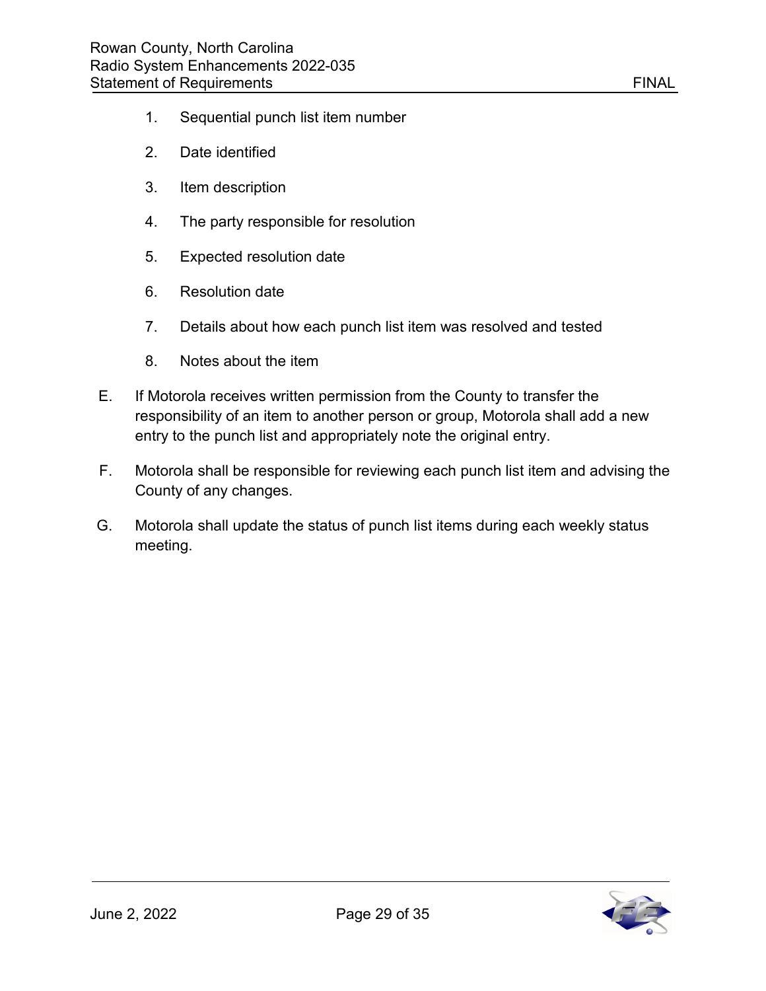- 1. Sequential punch list item number
- 2. Date identified
- 3. Item description
- 4. The party responsible for resolution
- 5. Expected resolution date
- 6. Resolution date
- 7. Details about how each punch list item was resolved and tested
- 8. Notes about the item
- E. If Motorola receives written permission from the County to transfer the responsibility of an item to another person or group, Motorola shall add a new entry to the punch list and appropriately note the original entry.
- F. Motorola shall be responsible for reviewing each punch list item and advising the County of any changes.
- G. Motorola shall update the status of punch list items during each weekly status meeting.

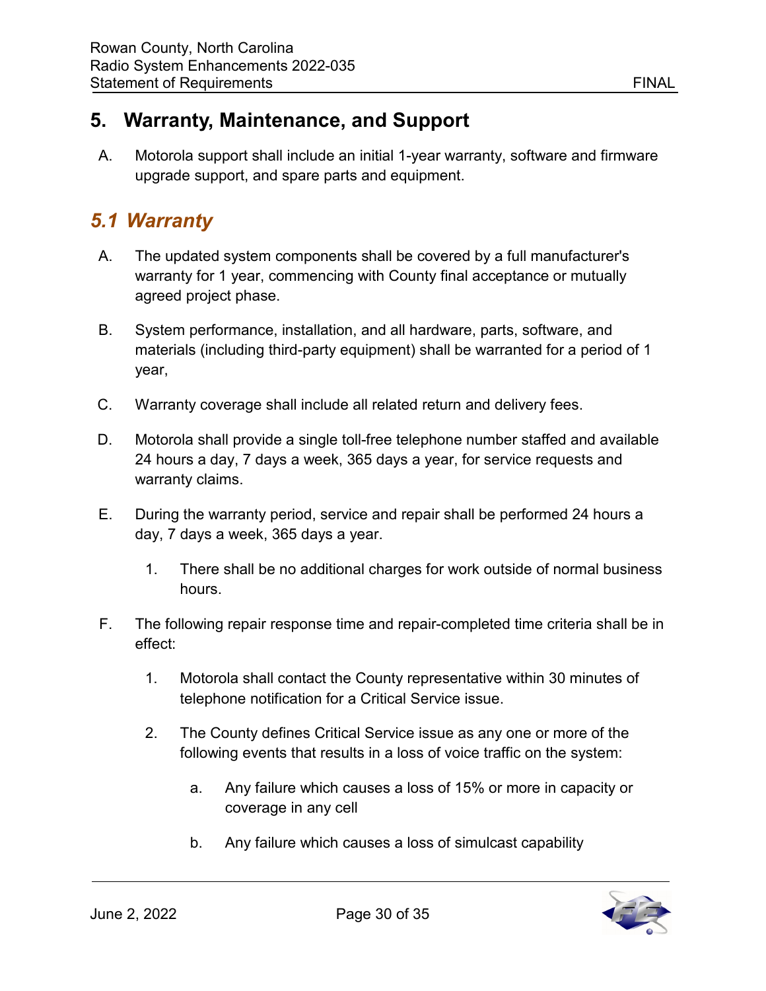#### <span id="page-30-0"></span>**5. Warranty, Maintenance, and Support**

A. Motorola support shall include an initial 1-year warranty, software and firmware upgrade support, and spare parts and equipment.

# <span id="page-30-1"></span>*5.1 Warranty*

- A. The updated system components shall be covered by a full manufacturer's warranty for 1 year, commencing with County final acceptance or mutually agreed project phase.
- B. System performance, installation, and all hardware, parts, software, and materials (including third-party equipment) shall be warranted for a period of 1 year,
- C. Warranty coverage shall include all related return and delivery fees.
- D. Motorola shall provide a single toll-free telephone number staffed and available 24 hours a day, 7 days a week, 365 days a year, for service requests and warranty claims.
- E. During the warranty period, service and repair shall be performed 24 hours a day, 7 days a week, 365 days a year.
	- 1. There shall be no additional charges for work outside of normal business hours.
- F. The following repair response time and repair-completed time criteria shall be in effect:
	- 1. Motorola shall contact the County representative within 30 minutes of telephone notification for a Critical Service issue.
	- 2. The County defines Critical Service issue as any one or more of the following events that results in a loss of voice traffic on the system:
		- a. Any failure which causes a loss of 15% or more in capacity or coverage in any cell
		- b. Any failure which causes a loss of simulcast capability

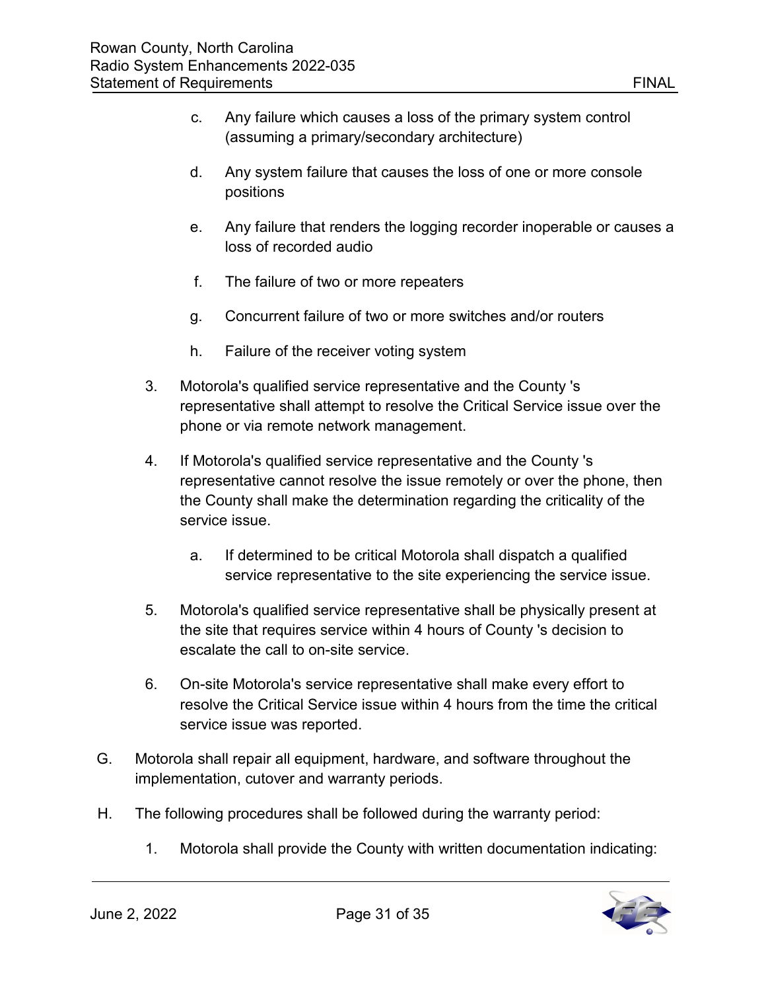- c. Any failure which causes a loss of the primary system control (assuming a primary/secondary architecture)
- d. Any system failure that causes the loss of one or more console positions
- e. Any failure that renders the logging recorder inoperable or causes a loss of recorded audio
- f. The failure of two or more repeaters
- g. Concurrent failure of two or more switches and/or routers
- h. Failure of the receiver voting system
- 3. Motorola's qualified service representative and the County 's representative shall attempt to resolve the Critical Service issue over the phone or via remote network management.
- 4. If Motorola's qualified service representative and the County 's representative cannot resolve the issue remotely or over the phone, then the County shall make the determination regarding the criticality of the service issue.
	- a. If determined to be critical Motorola shall dispatch a qualified service representative to the site experiencing the service issue.
- 5. Motorola's qualified service representative shall be physically present at the site that requires service within 4 hours of County 's decision to escalate the call to on-site service.
- 6. On-site Motorola's service representative shall make every effort to resolve the Critical Service issue within 4 hours from the time the critical service issue was reported.
- G. Motorola shall repair all equipment, hardware, and software throughout the implementation, cutover and warranty periods.
- H. The following procedures shall be followed during the warranty period:
	- 1. Motorola shall provide the County with written documentation indicating:

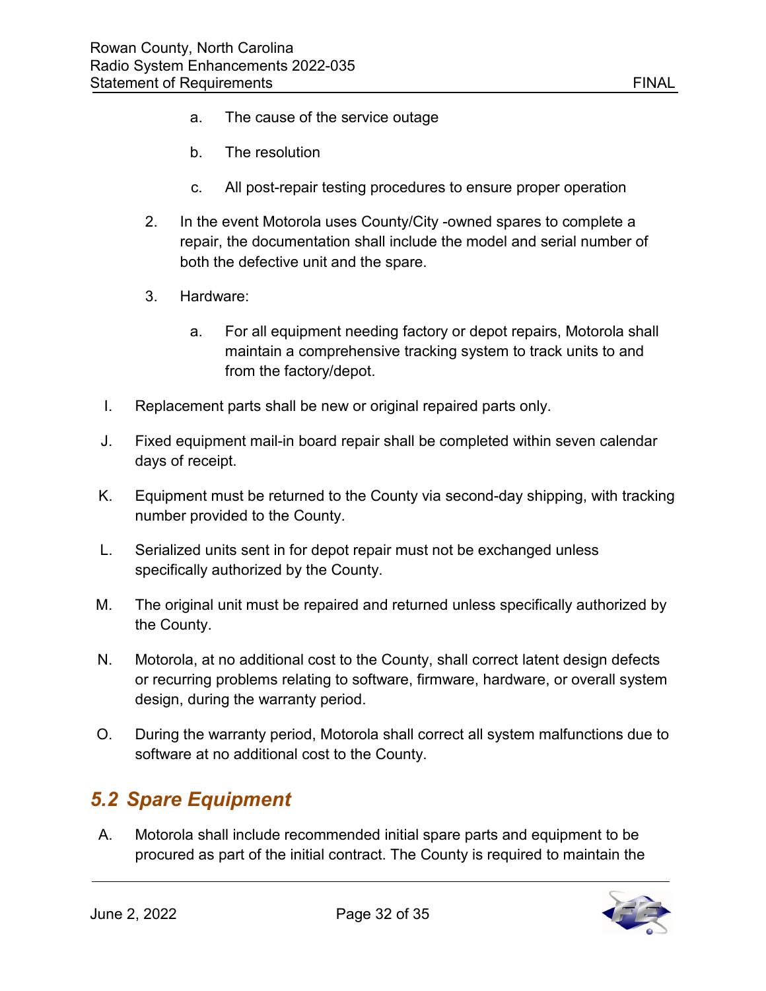- a. The cause of the service outage
- b. The resolution
- c. All post-repair testing procedures to ensure proper operation
- 2. In the event Motorola uses County/City -owned spares to complete a repair, the documentation shall include the model and serial number of both the defective unit and the spare.
- 3. Hardware:
	- a. For all equipment needing factory or depot repairs, Motorola shall maintain a comprehensive tracking system to track units to and from the factory/depot.
- I. Replacement parts shall be new or original repaired parts only.
- J. Fixed equipment mail-in board repair shall be completed within seven calendar days of receipt.
- K. Equipment must be returned to the County via second-day shipping, with tracking number provided to the County.
- L. Serialized units sent in for depot repair must not be exchanged unless specifically authorized by the County.
- M. The original unit must be repaired and returned unless specifically authorized by the County.
- N. Motorola, at no additional cost to the County, shall correct latent design defects or recurring problems relating to software, firmware, hardware, or overall system design, during the warranty period.
- O. During the warranty period, Motorola shall correct all system malfunctions due to software at no additional cost to the County.

# <span id="page-32-0"></span>*5.2 Spare Equipment*

A. Motorola shall include recommended initial spare parts and equipment to be procured as part of the initial contract. The County is required to maintain the

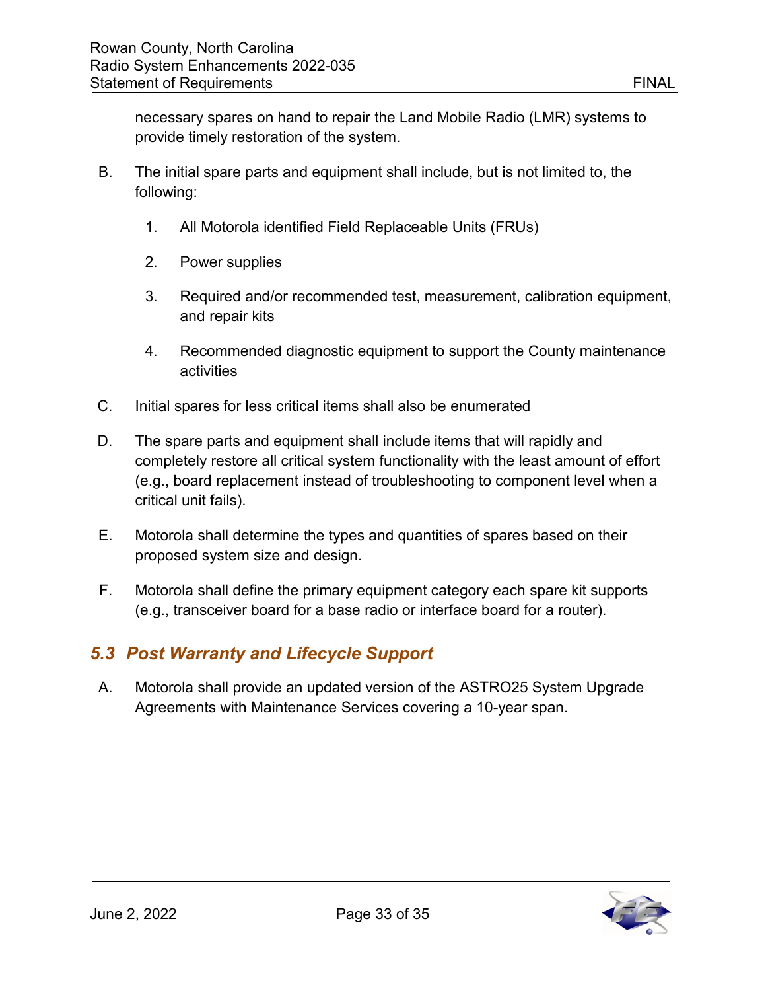necessary spares on hand to repair the Land Mobile Radio (LMR) systems to provide timely restoration of the system.

- B. The initial spare parts and equipment shall include, but is not limited to, the following:
	- 1. All Motorola identified Field Replaceable Units (FRUs)
	- 2. Power supplies
	- 3. Required and/or recommended test, measurement, calibration equipment, and repair kits
	- 4. Recommended diagnostic equipment to support the County maintenance activities
- C. Initial spares for less critical items shall also be enumerated
- D. The spare parts and equipment shall include items that will rapidly and completely restore all critical system functionality with the least amount of effort (e.g., board replacement instead of troubleshooting to component level when a critical unit fails).
- E. Motorola shall determine the types and quantities of spares based on their proposed system size and design.
- F. Motorola shall define the primary equipment category each spare kit supports (e.g., transceiver board for a base radio or interface board for a router).

#### <span id="page-33-0"></span>*5.3 Post Warranty and Lifecycle Support*

A. Motorola shall provide an updated version of the ASTRO25 System Upgrade Agreements with Maintenance Services covering a 10-year span.

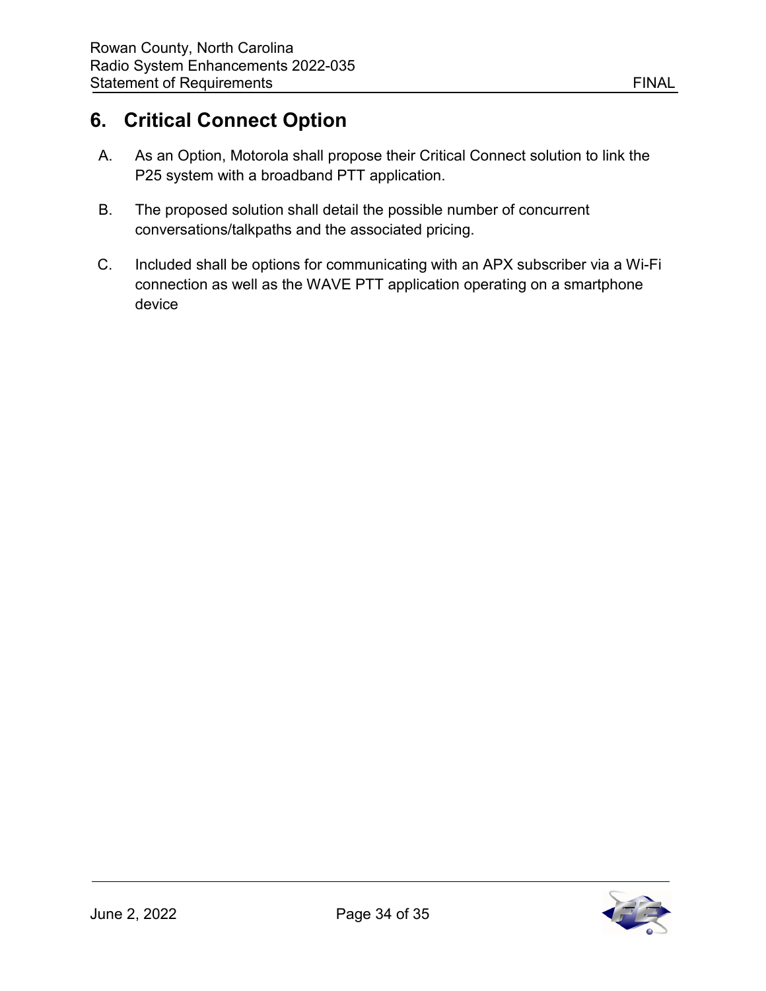# <span id="page-34-0"></span>**6. Critical Connect Option**

- A. As an Option, Motorola shall propose their Critical Connect solution to link the P25 system with a broadband PTT application.
- B. The proposed solution shall detail the possible number of concurrent conversations/talkpaths and the associated pricing.
- C. Included shall be options for communicating with an APX subscriber via a Wi-Fi connection as well as the WAVE PTT application operating on a smartphone device



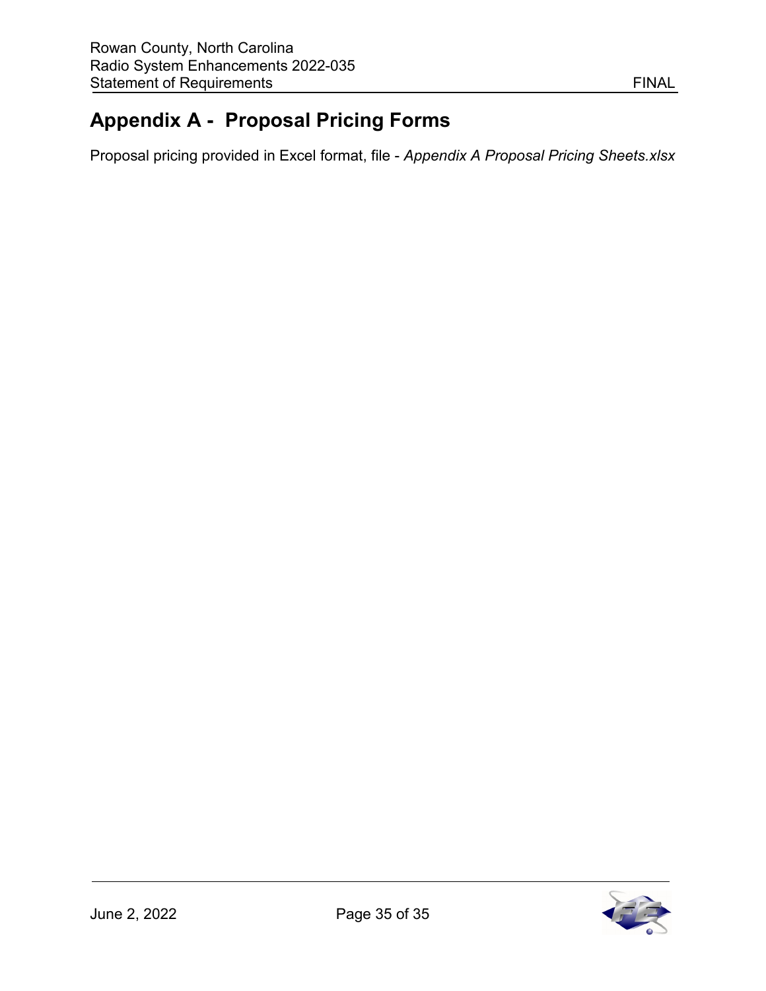# <span id="page-35-0"></span>**Appendix A - Proposal Pricing Forms**

Proposal pricing provided in Excel format, file - *Appendix A Proposal Pricing Sheets.xlsx*

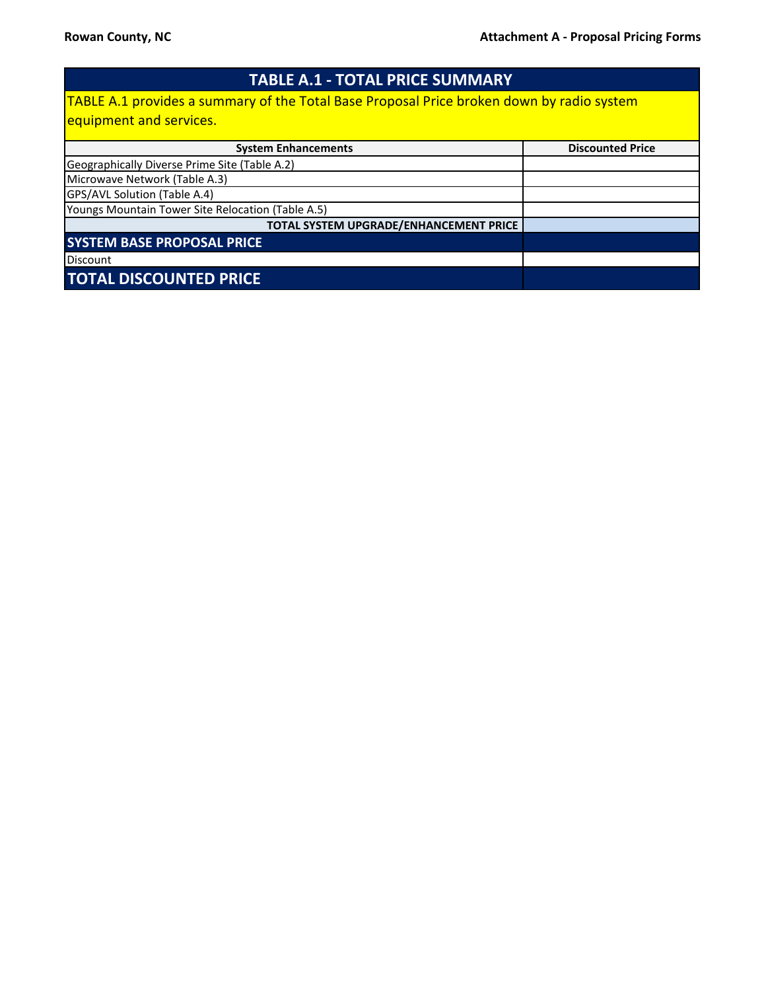| <b>TABLE A.1 - TOTAL PRICE SUMMARY</b>                                                           |                         |
|--------------------------------------------------------------------------------------------------|-------------------------|
| <b>TABLE A.1 provides a summary of the Total Base Proposal Price broken down by radio system</b> |                         |
| equipment and services.                                                                          |                         |
| <b>System Enhancements</b>                                                                       | <b>Discounted Price</b> |
| Geographically Diverse Prime Site (Table A.2)                                                    |                         |
| Microwave Network (Table A.3)                                                                    |                         |
| GPS/AVL Solution (Table A.4)                                                                     |                         |
| Youngs Mountain Tower Site Relocation (Table A.5)                                                |                         |
| TOTAL SYSTEM UPGRADE/ENHANCEMENT PRICE                                                           |                         |
| <b>SYSTEM BASE PROPOSAL PRICE</b>                                                                |                         |
| Discount                                                                                         |                         |
| <b>TOTAL DISCOUNTED PRICE</b>                                                                    |                         |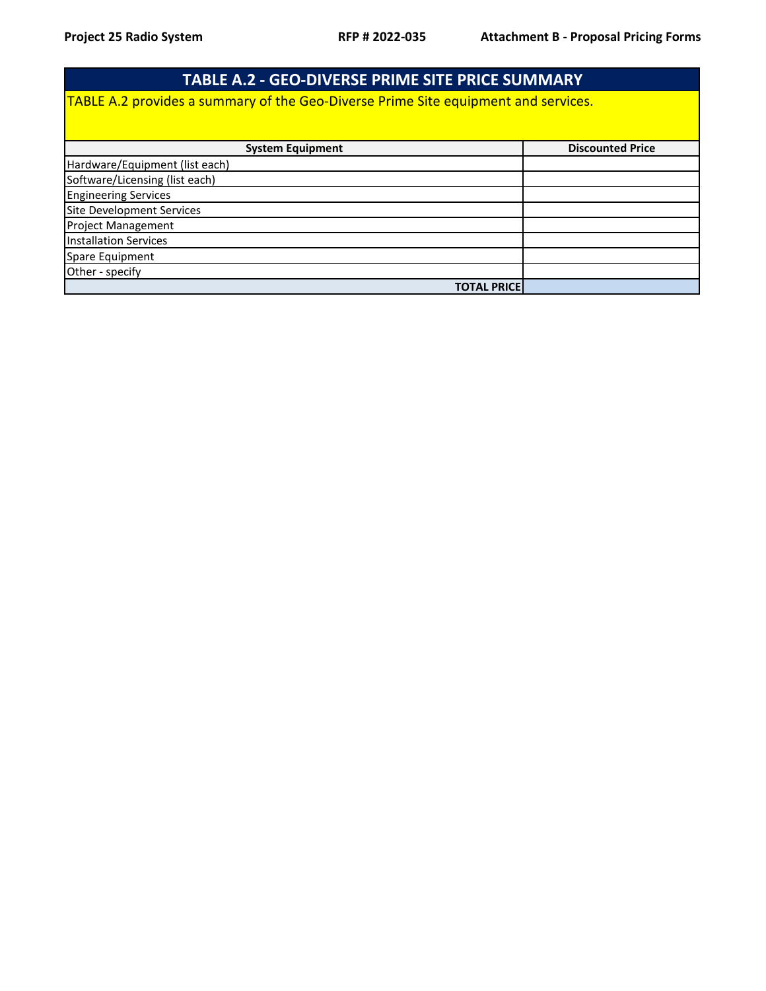| <b>TABLE A.2 - GEO-DIVERSE PRIME SITE PRICE SUMMARY</b>                            |                         |  |
|------------------------------------------------------------------------------------|-------------------------|--|
| TABLE A.2 provides a summary of the Geo-Diverse Prime Site equipment and services. |                         |  |
| <b>System Equipment</b>                                                            | <b>Discounted Price</b> |  |
| Hardware/Equipment (list each)                                                     |                         |  |
| Software/Licensing (list each)                                                     |                         |  |
| <b>Engineering Services</b>                                                        |                         |  |
| Site Development Services                                                          |                         |  |
| <b>Project Management</b>                                                          |                         |  |
| <b>Installation Services</b>                                                       |                         |  |
| Spare Equipment                                                                    |                         |  |
| Other - specify                                                                    |                         |  |
| <b>TOTAL PRICE</b>                                                                 |                         |  |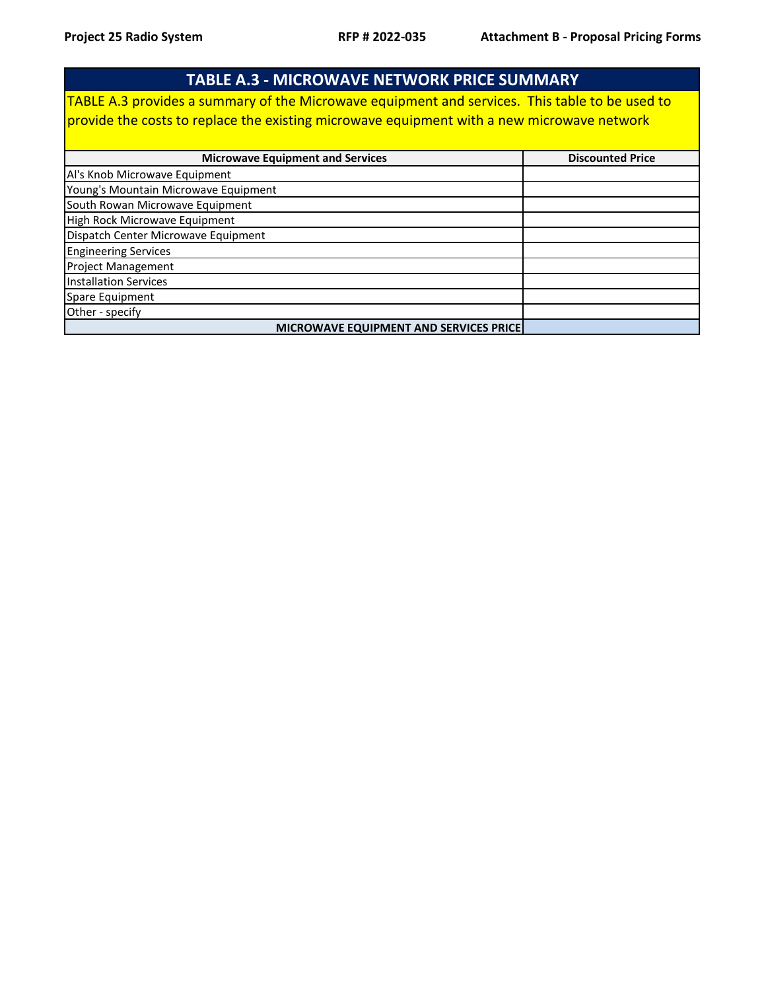| <b>TABLE A.3 - MICROWAVE NETWORK PRICE SUMMARY</b>                                             |                         |  |
|------------------------------------------------------------------------------------------------|-------------------------|--|
| TABLE A.3 provides a summary of the Microwave equipment and services. This table to be used to |                         |  |
| provide the costs to replace the existing microwave equipment with a new microwave network     |                         |  |
| <b>Microwave Equipment and Services</b>                                                        | <b>Discounted Price</b> |  |
| Al's Knob Microwave Equipment                                                                  |                         |  |
| Young's Mountain Microwave Equipment                                                           |                         |  |
| South Rowan Microwave Equipment                                                                |                         |  |
| High Rock Microwave Equipment                                                                  |                         |  |
| Dispatch Center Microwave Equipment                                                            |                         |  |
| <b>Engineering Services</b>                                                                    |                         |  |
| <b>Project Management</b>                                                                      |                         |  |
| <b>Installation Services</b>                                                                   |                         |  |
| Spare Equipment                                                                                |                         |  |
| Other - specify                                                                                |                         |  |
| <b>MICROWAVE EQUIPMENT AND SERVICES PRICE</b>                                                  |                         |  |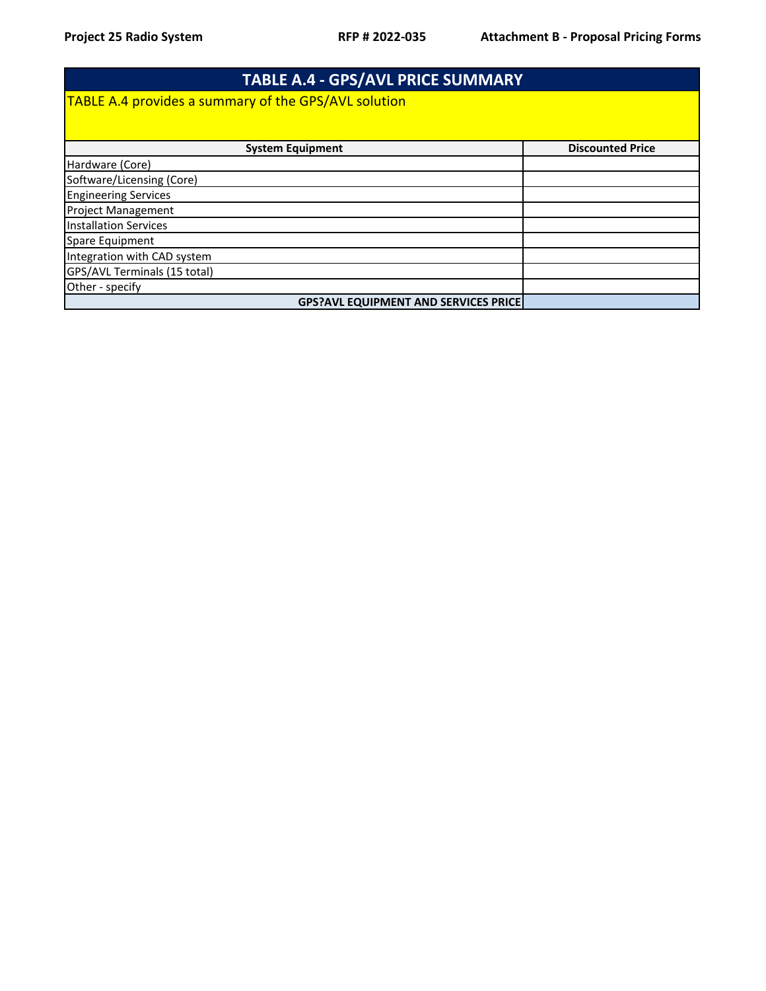| <b>TABLE A.4 - GPS/AVL PRICE SUMMARY</b>                    |                         |  |
|-------------------------------------------------------------|-------------------------|--|
| <b>TABLE A.4 provides a summary of the GPS/AVL solution</b> |                         |  |
|                                                             |                         |  |
| <b>System Equipment</b>                                     | <b>Discounted Price</b> |  |
| Hardware (Core)                                             |                         |  |
| Software/Licensing (Core)                                   |                         |  |
| <b>Engineering Services</b>                                 |                         |  |
| <b>Project Management</b>                                   |                         |  |
| <b>Installation Services</b>                                |                         |  |
| Spare Equipment                                             |                         |  |
| Integration with CAD system                                 |                         |  |
| GPS/AVL Terminals (15 total)                                |                         |  |
| Other - specify                                             |                         |  |
| <b>GPS?AVL EQUIPMENT AND SERVICES PRICE</b>                 |                         |  |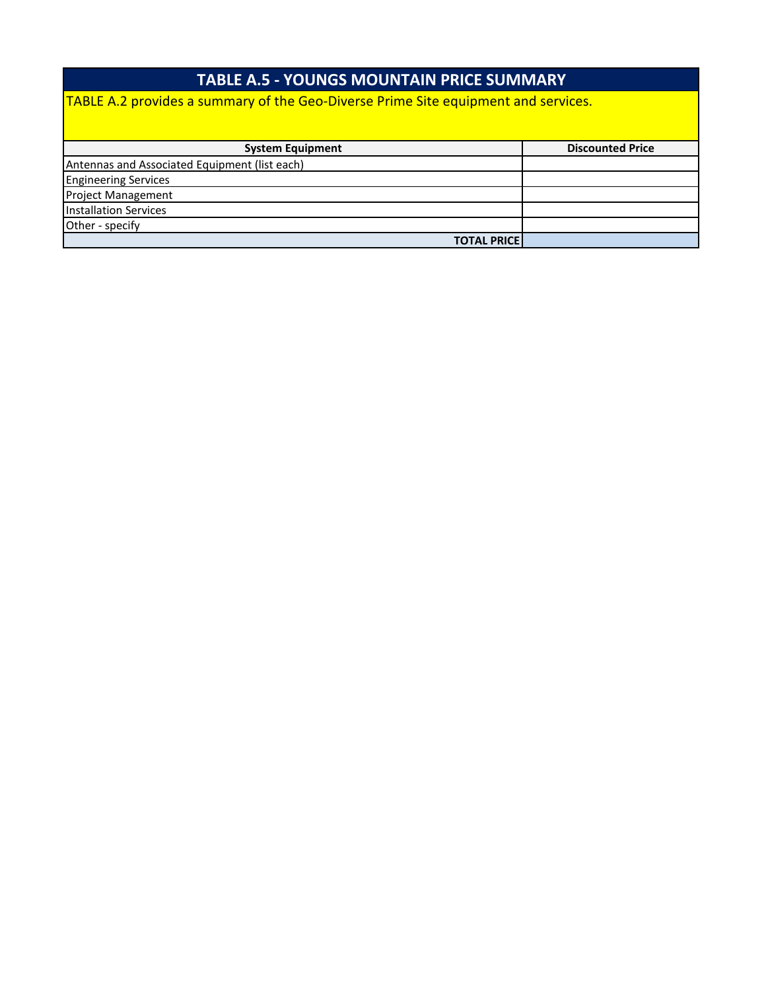#### **TABLE A.5 - YOUNGS MOUNTAIN PRICE SUMMARY**

TABLE A.2 provides a summary of the Geo-Diverse Prime Site equipment and services.

| <b>System Equipment</b>                       | <b>Discounted Price</b> |
|-----------------------------------------------|-------------------------|
| Antennas and Associated Equipment (list each) |                         |
| <b>Engineering Services</b>                   |                         |
| <b>Project Management</b>                     |                         |
| <b>Installation Services</b>                  |                         |
| Other - specify                               |                         |
| <b>TOTAL PRICE</b>                            |                         |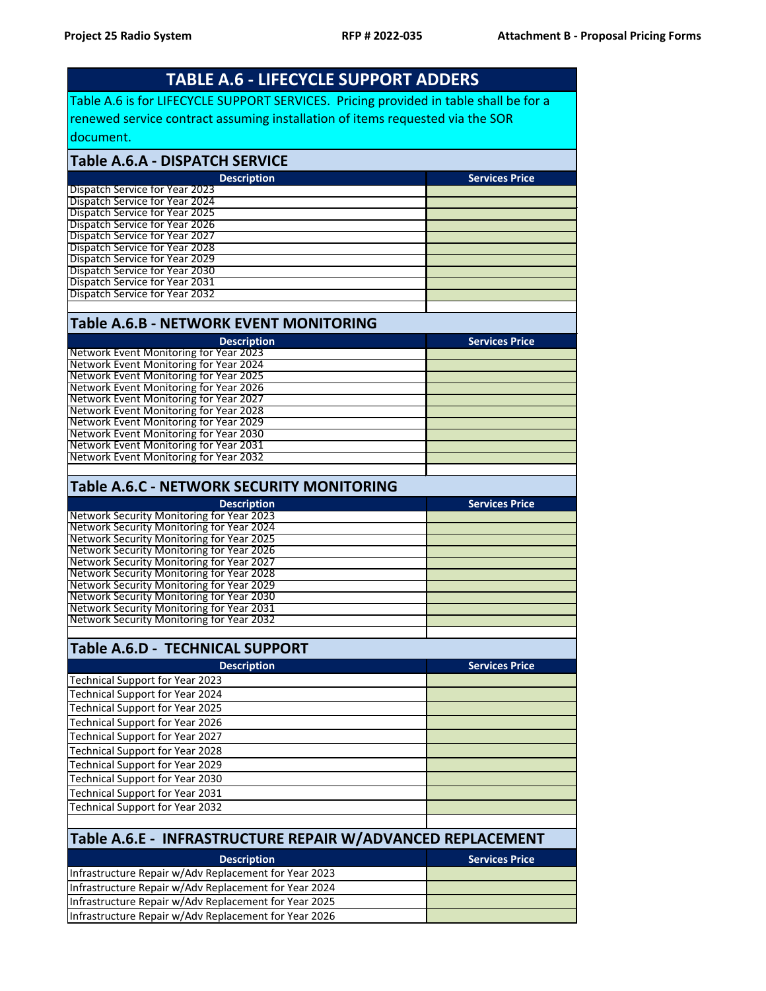|                                                                                                                                                                                                                                                                                                                                                                                                            | <b>TABLE A.6 - LIFECYCLE SUPPORT ADDERS</b> |  |  |
|------------------------------------------------------------------------------------------------------------------------------------------------------------------------------------------------------------------------------------------------------------------------------------------------------------------------------------------------------------------------------------------------------------|---------------------------------------------|--|--|
| Table A.6 is for LIFECYCLE SUPPORT SERVICES. Pricing provided in table shall be for a                                                                                                                                                                                                                                                                                                                      |                                             |  |  |
| renewed service contract assuming installation of items requested via the SOR                                                                                                                                                                                                                                                                                                                              |                                             |  |  |
| ldocument.                                                                                                                                                                                                                                                                                                                                                                                                 |                                             |  |  |
| <b>Table A.6.A - DISPATCH SERVICE</b>                                                                                                                                                                                                                                                                                                                                                                      |                                             |  |  |
| <b>Description</b>                                                                                                                                                                                                                                                                                                                                                                                         | <b>Services Price</b>                       |  |  |
| Dispatch Service for Year 2023                                                                                                                                                                                                                                                                                                                                                                             |                                             |  |  |
| Dispatch Service for Year 2024<br>Dispatch Service for Year 2025                                                                                                                                                                                                                                                                                                                                           |                                             |  |  |
| Dispatch Service for Year 2026                                                                                                                                                                                                                                                                                                                                                                             |                                             |  |  |
| Dispatch Service for Year 2027                                                                                                                                                                                                                                                                                                                                                                             |                                             |  |  |
| Dispatch Service for Year 2028<br>Dispatch Service for Year 2029                                                                                                                                                                                                                                                                                                                                           |                                             |  |  |
| Dispatch Service for Year 2030                                                                                                                                                                                                                                                                                                                                                                             |                                             |  |  |
| Dispatch Service for Year 2031                                                                                                                                                                                                                                                                                                                                                                             |                                             |  |  |
| Dispatch Service for Year 2032                                                                                                                                                                                                                                                                                                                                                                             |                                             |  |  |
| Table A.6.B - NETWORK EVENT MONITORING                                                                                                                                                                                                                                                                                                                                                                     |                                             |  |  |
| <b>Description</b>                                                                                                                                                                                                                                                                                                                                                                                         | <b>Services Price</b>                       |  |  |
| Network Event Monitoring for Year 2023<br>Network Event Monitoring for Year 2024                                                                                                                                                                                                                                                                                                                           |                                             |  |  |
| Network Event Monitoring for Year 2025                                                                                                                                                                                                                                                                                                                                                                     |                                             |  |  |
| Network Event Monitoring for Year 2026                                                                                                                                                                                                                                                                                                                                                                     |                                             |  |  |
| Network Event Monitoring for Year 2027<br>Network Event Monitoring for Year 2028                                                                                                                                                                                                                                                                                                                           |                                             |  |  |
| Network Event Monitoring for Year 2029                                                                                                                                                                                                                                                                                                                                                                     |                                             |  |  |
| Network Event Monitoring for Year 2030                                                                                                                                                                                                                                                                                                                                                                     |                                             |  |  |
| Network Event Monitoring for Year 2031<br>Network Event Monitoring for Year 2032                                                                                                                                                                                                                                                                                                                           |                                             |  |  |
|                                                                                                                                                                                                                                                                                                                                                                                                            |                                             |  |  |
| Table A.6.C - NETWORK SECURITY MONITORING                                                                                                                                                                                                                                                                                                                                                                  |                                             |  |  |
| <b>Description</b>                                                                                                                                                                                                                                                                                                                                                                                         |                                             |  |  |
|                                                                                                                                                                                                                                                                                                                                                                                                            | <b>Services Price</b>                       |  |  |
|                                                                                                                                                                                                                                                                                                                                                                                                            |                                             |  |  |
| Network Security Monitoring for Year 2024<br><b>Network Security Monitoring for Year 2025</b>                                                                                                                                                                                                                                                                                                              |                                             |  |  |
|                                                                                                                                                                                                                                                                                                                                                                                                            |                                             |  |  |
|                                                                                                                                                                                                                                                                                                                                                                                                            |                                             |  |  |
| Network Security Monitoring for Year 2028                                                                                                                                                                                                                                                                                                                                                                  |                                             |  |  |
|                                                                                                                                                                                                                                                                                                                                                                                                            |                                             |  |  |
|                                                                                                                                                                                                                                                                                                                                                                                                            |                                             |  |  |
|                                                                                                                                                                                                                                                                                                                                                                                                            |                                             |  |  |
| <b>Table A.6.D - TECHNICAL SUPPORT</b>                                                                                                                                                                                                                                                                                                                                                                     |                                             |  |  |
| <b>Description</b>                                                                                                                                                                                                                                                                                                                                                                                         | <b>Services Price</b>                       |  |  |
| Technical Support for Year 2023                                                                                                                                                                                                                                                                                                                                                                            |                                             |  |  |
| <b>Technical Support for Year 2024</b>                                                                                                                                                                                                                                                                                                                                                                     |                                             |  |  |
| <b>Technical Support for Year 2025</b>                                                                                                                                                                                                                                                                                                                                                                     |                                             |  |  |
| <b>Technical Support for Year 2026</b><br><b>Technical Support for Year 2027</b>                                                                                                                                                                                                                                                                                                                           |                                             |  |  |
| <b>Technical Support for Year 2028</b>                                                                                                                                                                                                                                                                                                                                                                     |                                             |  |  |
| <b>Technical Support for Year 2029</b>                                                                                                                                                                                                                                                                                                                                                                     |                                             |  |  |
| Technical Support for Year 2030                                                                                                                                                                                                                                                                                                                                                                            |                                             |  |  |
| Technical Support for Year 2031                                                                                                                                                                                                                                                                                                                                                                            |                                             |  |  |
| <b>Technical Support for Year 2032</b>                                                                                                                                                                                                                                                                                                                                                                     |                                             |  |  |
| Network Security Monitoring for Year 2027<br>Table A.6.E - INFRASTRUCTURE REPAIR W/ADVANCED REPLACEMENT                                                                                                                                                                                                                                                                                                    |                                             |  |  |
| <b>Description</b>                                                                                                                                                                                                                                                                                                                                                                                         | <b>Services Price</b>                       |  |  |
| Infrastructure Repair w/Adv Replacement for Year 2023                                                                                                                                                                                                                                                                                                                                                      |                                             |  |  |
| Infrastructure Repair w/Adv Replacement for Year 2024                                                                                                                                                                                                                                                                                                                                                      |                                             |  |  |
| <b>Network Security Monitoring for Year 2023</b><br>Network Security Monitoring for Year 2026<br>Network Security Monitoring for Year 2029<br>Network Security Monitoring for Year 2030<br><b>Network Security Monitoring for Year 2031</b><br>Network Security Monitoring for Year 2032<br>Infrastructure Repair w/Adv Replacement for Year 2025<br>Infrastructure Repair w/Adv Replacement for Year 2026 |                                             |  |  |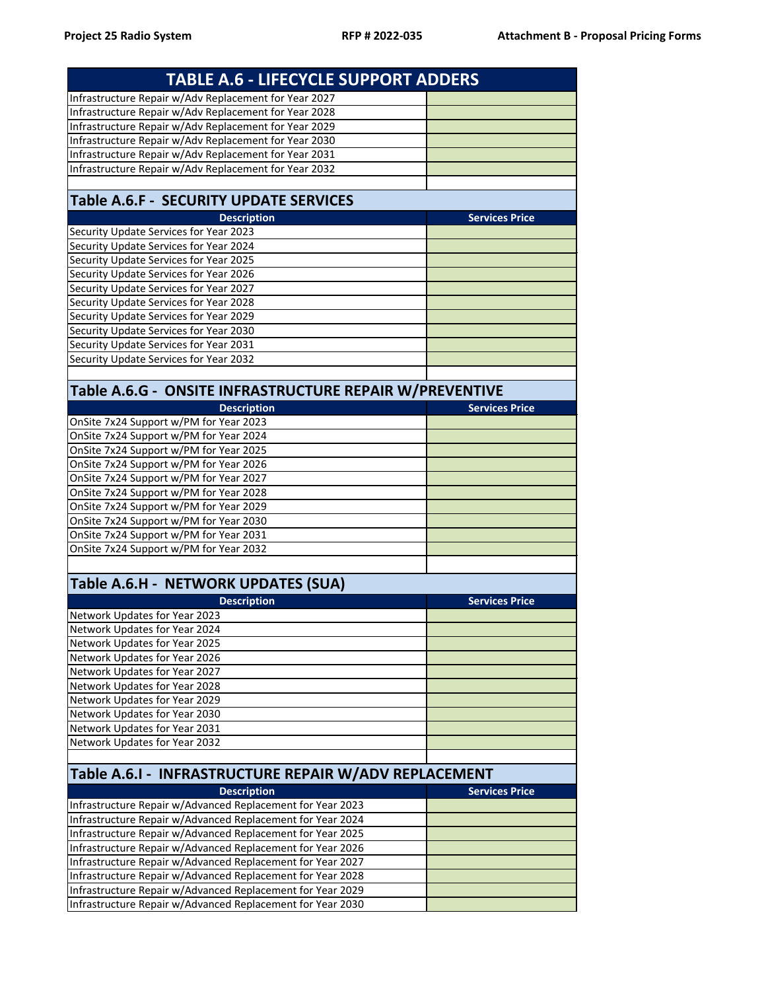| <b>TABLE A.6 - LIFECYCLE SUPPORT ADDERS</b>                                      |                       |  |
|----------------------------------------------------------------------------------|-----------------------|--|
| Infrastructure Repair w/Adv Replacement for Year 2027                            |                       |  |
| Infrastructure Repair w/Adv Replacement for Year 2028                            |                       |  |
| Infrastructure Repair w/Adv Replacement for Year 2029                            |                       |  |
| Infrastructure Repair w/Adv Replacement for Year 2030                            |                       |  |
| Infrastructure Repair w/Adv Replacement for Year 2031                            |                       |  |
| Infrastructure Repair w/Adv Replacement for Year 2032                            |                       |  |
|                                                                                  |                       |  |
| <b>Table A.6.F - SECURITY UPDATE SERVICES</b>                                    |                       |  |
| <b>Description</b>                                                               | <b>Services Price</b> |  |
| Security Update Services for Year 2023                                           |                       |  |
| Security Update Services for Year 2024                                           |                       |  |
| Security Update Services for Year 2025                                           |                       |  |
| Security Update Services for Year 2026                                           |                       |  |
| Security Update Services for Year 2027                                           |                       |  |
| Security Update Services for Year 2028                                           |                       |  |
| Security Update Services for Year 2029                                           |                       |  |
| Security Update Services for Year 2030                                           |                       |  |
| Security Update Services for Year 2031                                           |                       |  |
| Security Update Services for Year 2032                                           |                       |  |
| Table A.6.G - ONSITE INFRASTRUCTURE REPAIR W/PREVENTIVE                          |                       |  |
| <b>Description</b>                                                               | <b>Services Price</b> |  |
|                                                                                  |                       |  |
| OnSite 7x24 Support w/PM for Year 2023<br>OnSite 7x24 Support w/PM for Year 2024 |                       |  |
| OnSite 7x24 Support w/PM for Year 2025                                           |                       |  |
| OnSite 7x24 Support w/PM for Year 2026                                           |                       |  |
| OnSite 7x24 Support w/PM for Year 2027                                           |                       |  |
| OnSite 7x24 Support w/PM for Year 2028                                           |                       |  |
| OnSite 7x24 Support w/PM for Year 2029                                           |                       |  |
| OnSite 7x24 Support w/PM for Year 2030                                           |                       |  |
| OnSite 7x24 Support w/PM for Year 2031                                           |                       |  |
| OnSite 7x24 Support w/PM for Year 2032                                           |                       |  |
|                                                                                  |                       |  |
|                                                                                  |                       |  |
| Table A.6.H - NETWORK UPDATES (SUA)                                              |                       |  |
| <b>Description</b>                                                               | <b>Services Price</b> |  |
| Network Updates for Year 2023                                                    |                       |  |
| Network Updates for Year 2024                                                    |                       |  |
| Network Updates for Year 2025                                                    |                       |  |
| Network Updates for Year 2026                                                    |                       |  |
| Network Updates for Year 2027                                                    |                       |  |
| Network Updates for Year 2028                                                    |                       |  |
| Network Updates for Year 2029                                                    |                       |  |
| Network Updates for Year 2030                                                    |                       |  |
| Network Updates for Year 2031                                                    |                       |  |
| Network Updates for Year 2032                                                    |                       |  |
|                                                                                  |                       |  |
| Table A.6.1 - INFRASTRUCTURE REPAIR W/ADV REPLACEMENT                            |                       |  |
| <b>Description</b>                                                               | <b>Services Price</b> |  |
| Infrastructure Repair w/Advanced Replacement for Year 2023                       |                       |  |
| Infrastructure Repair w/Advanced Replacement for Year 2024                       |                       |  |
| Infrastructure Repair w/Advanced Replacement for Year 2025                       |                       |  |
| Infrastructure Repair w/Advanced Replacement for Year 2026                       |                       |  |
| Infrastructure Repair w/Advanced Replacement for Year 2027                       |                       |  |
| Infrastructure Repair w/Advanced Replacement for Year 2028                       |                       |  |
| Infrastructure Repair w/Advanced Replacement for Year 2029                       |                       |  |
| Infrastructure Repair w/Advanced Replacement for Year 2030                       |                       |  |